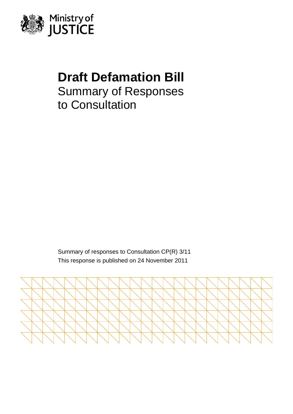

# **Draft Defamation Bill**

Summary of Responses to Consultation

Summary of responses to Consultation CP(R) 3/11 This response is published on 24 November 2011

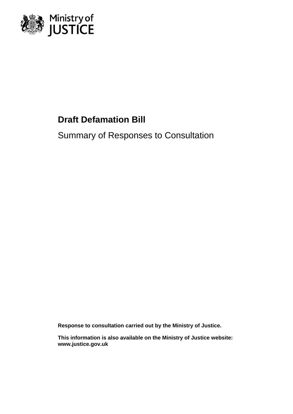

# **Draft Defamation Bill**

Summary of Responses to Consultation

**Response to consultation carried out by the Ministry of Justice.** 

**This information is also available on the Ministry of Justice website: [www.justice.gov.uk](http://www.justice.gov.uk/)**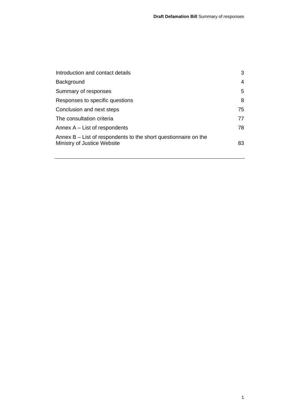| Introduction and contact details                                                                 | 3  |
|--------------------------------------------------------------------------------------------------|----|
| Background                                                                                       | 4  |
| Summary of responses                                                                             | 5  |
| Responses to specific questions                                                                  | 8  |
| Conclusion and next steps                                                                        | 75 |
| The consultation criteria                                                                        | 77 |
| Annex $A - List$ of respondents                                                                  | 78 |
| Annex $B -$ List of respondents to the short questionnaire on the<br>Ministry of Justice Website | 83 |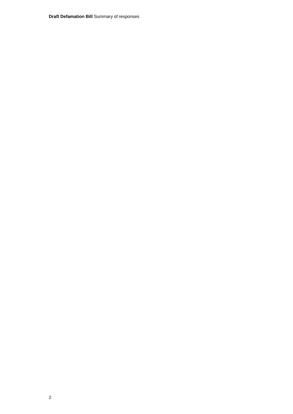**Draft Defamation Bill** Summary of responses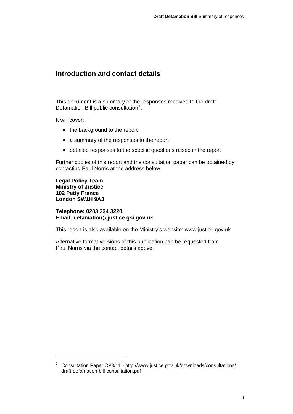# <span id="page-6-0"></span>**Introduction and contact details**

This document is a summary of the responses received to the draft Defamation Bill public consultation<sup>[1](#page-6-1)</sup>.

It will cover:

- the background to the report
- a summary of the responses to the report
- detailed responses to the specific questions raised in the report

Further copies of this report and the consultation paper can be obtained by contacting Paul Norris at the address below:

**Legal Policy Team Ministry of Justice 102 Petty France London SW1H 9AJ** 

#### **Telephone: 0203 334 3220 Email: defamation@justice.gsi.gov.uk**

This report is also available on the Ministry's website: [www.justice.gov.uk](http://www.justice.gov.uk/).

Alternative format versions of this publication can be requested from Paul Norris via the contact details above.

<span id="page-6-1"></span><sup>1</sup> Consultation Paper CP3/11 - http://www.justice.gov.uk/downloads/consultations/ draft-defamation-bill-consultation.pdf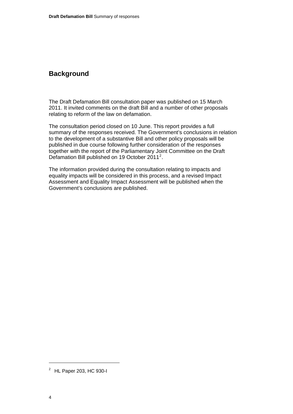# <span id="page-7-0"></span>**Background**

The Draft Defamation Bill consultation paper was published on 15 March 2011. It invited comments on the draft Bill and a number of other proposals relating to reform of the law on defamation.

The consultation period closed on 10 June. This report provides a full summary of the responses received. The Government's conclusions in relation to the development of a substantive Bill and other policy proposals will be published in due course following further consideration of the responses together with the report of the Parliamentary Joint Committee on the Draft Defamation Bill published on 19 October [2](#page-7-1)011<sup>2</sup>.

The information provided during the consultation relating to impacts and equality impacts will be considered in this process, and a revised Impact Assessment and Equality Impact Assessment will be published when the Government's conclusions are published.

<span id="page-7-1"></span> $2$  HL Paper 203, HC 930-I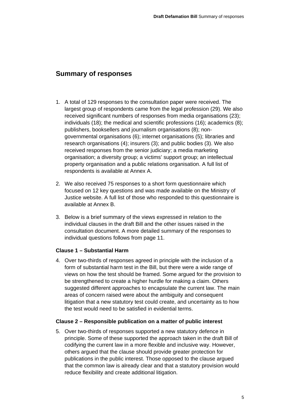### <span id="page-8-0"></span>**Summary of responses**

- 1. A total of 129 responses to the consultation paper were received. The largest group of respondents came from the legal profession (29). We also received significant numbers of responses from media organisations (23); individuals (18); the medical and scientific professions (16); academics (8); publishers, booksellers and journalism organisations (8); nongovernmental organisations (6); internet organisations (5); libraries and research organisations (4); insurers (3); and public bodies (3). We also received responses from the senior judiciary; a media marketing organisation; a diversity group; a victims' support group; an intellectual property organisation and a public relations organisation. A full list of respondents is available at Annex A.
- 2. We also received 75 responses to a short form questionnaire which focused on 12 key questions and was made available on the Ministry of Justice website. A full list of those who responded to this questionnaire is available at Annex B.
- 3. Below is a brief summary of the views expressed in relation to the individual clauses in the draft Bill and the other issues raised in the consultation document. A more detailed summary of the responses to individual questions follows from page 11.

#### **Clause 1 – Substantial Harm**

4. Over two-thirds of responses agreed in principle with the inclusion of a form of substantial harm test in the Bill, but there were a wide range of views on how the test should be framed. Some argued for the provision to be strengthened to create a higher hurdle for making a claim. Others suggested different approaches to encapsulate the current law. The main areas of concern raised were about the ambiguity and consequent litigation that a new statutory test could create, and uncertainty as to how the test would need to be satisfied in evidential terms.

#### **Clause 2 – Responsible publication on a matter of public interest**

5. Over two-thirds of responses supported a new statutory defence in principle. Some of these supported the approach taken in the draft Bill of codifying the current law in a more flexible and inclusive way. However, others argued that the clause should provide greater protection for publications in the public interest. Those opposed to the clause argued that the common law is already clear and that a statutory provision would reduce flexibility and create additional litigation.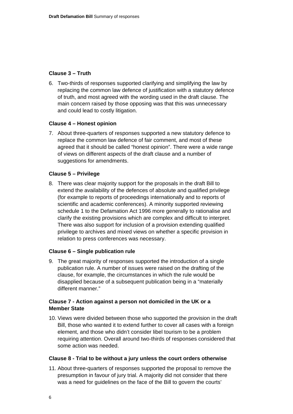#### **Clause 3 – Truth**

6. Two-thirds of responses supported clarifying and simplifying the law by replacing the common law defence of justification with a statutory defence of truth, and most agreed with the wording used in the draft clause. The main concern raised by those opposing was that this was unnecessary and could lead to costly litigation.

#### **Clause 4 – Honest opinion**

7. About three-quarters of responses supported a new statutory defence to replace the common law defence of fair comment, and most of these agreed that it should be called "honest opinion". There were a wide range of views on different aspects of the draft clause and a number of suggestions for amendments.

#### **Clause 5 – Privilege**

8. There was clear majority support for the proposals in the draft Bill to extend the availability of the defences of absolute and qualified privilege (for example to reports of proceedings internationally and to reports of scientific and academic conferences). A minority supported reviewing schedule 1 to the Defamation Act 1996 more generally to rationalise and clarify the existing provisions which are complex and difficult to interpret. There was also support for inclusion of a provision extending qualified privilege to archives and mixed views on whether a specific provision in relation to press conferences was necessary.

#### **Clause 6 – Single publication rule**

9. The great majority of responses supported the introduction of a single publication rule. A number of issues were raised on the drafting of the clause, for example, the circumstances in which the rule would be disapplied because of a subsequent publication being in a "materially different manner."

#### **Clause 7 - Action against a person not domiciled in the UK or a Member State**

10. Views were divided between those who supported the provision in the draft Bill, those who wanted it to extend further to cover all cases with a foreign element, and those who didn't consider libel tourism to be a problem requiring attention. Overall around two-thirds of responses considered that some action was needed.

#### **Clause 8 - Trial to be without a jury unless the court orders otherwise**

11. About three-quarters of responses supported the proposal to remove the presumption in favour of jury trial. A majority did not consider that there was a need for guidelines on the face of the Bill to govern the courts'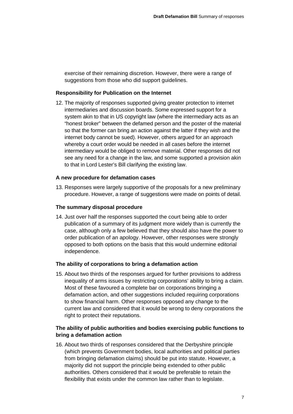exercise of their remaining discretion. However, there were a range of suggestions from those who did support guidelines.

#### **Responsibility for Publication on the Internet**

12. The majority of responses supported giving greater protection to internet intermediaries and discussion boards. Some expressed support for a system akin to that in US copyright law (where the intermediary acts as an "honest broker" between the defamed person and the poster of the material so that the former can bring an action against the latter if they wish and the internet body cannot be sued). However, others argued for an approach whereby a court order would be needed in all cases before the internet intermediary would be obliged to remove material. Other responses did not see any need for a change in the law, and some supported a provision akin to that in Lord Lester's Bill clarifying the existing law.

#### **A new procedure for defamation cases**

13. Responses were largely supportive of the proposals for a new preliminary procedure. However, a range of suggestions were made on points of detail.

#### **The summary disposal procedure**

14. Just over half the responses supported the court being able to order publication of a summary of its judgment more widely than is currently the case, although only a few believed that they should also have the power to order publication of an apology. However, other responses were strongly opposed to both options on the basis that this would undermine editorial independence.

#### **The ability of corporations to bring a defamation action**

15. About two thirds of the responses argued for further provisions to address inequality of arms issues by restricting corporations' ability to bring a claim. Most of these favoured a complete bar on corporations bringing a defamation action, and other suggestions included requiring corporations to show financial harm. Other responses opposed any change to the current law and considered that it would be wrong to deny corporations the right to protect their reputations.

#### **The ability of public authorities and bodies exercising public functions to bring a defamation action**

16. About two thirds of responses considered that the Derbyshire principle (which prevents Government bodies, local authorities and political parties from bringing defamation claims) should be put into statute. However, a majority did not support the principle being extended to other public authorities. Others considered that it would be preferable to retain the flexibility that exists under the common law rather than to legislate.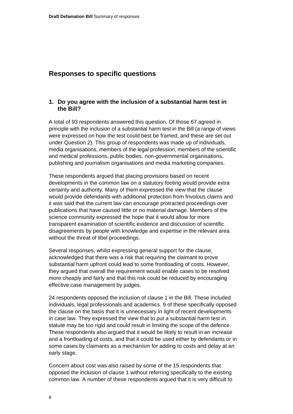# <span id="page-11-0"></span>**Responses to specific questions**

#### **1. Do you agree with the inclusion of a substantial harm test in the Bill?**

A total of 93 respondents answered this question. Of those 67 agreed in principle with the inclusion of a substantial harm test in the Bill (a range of views were expressed on how the test could best be framed, and these are set out under Question 2). This group of respondents was made up of individuals, media organisations, members of the legal profession, members of the scientific and medical professions, public bodies, non-governmental organisations, publishing and journalism organisations and media marketing companies.

These respondents argued that placing provisions based on recent developments in the common law on a statutory footing would provide extra certainty and authority. Many of them expressed the view that the clause would provide defendants with additional protection from frivolous claims and it was said that the current law can encourage protracted proceedings over publications that have caused little or no material damage. Members of the science community expressed the hope that it would allow for more transparent examination of scientific evidence and discussion of scientific disagreements by people with knowledge and expertise in the relevant area without the threat of libel proceedings.

Several responses, whilst expressing general support for the clause, acknowledged that there was a risk that requiring the claimant to prove substantial harm upfront could lead to some frontloading of costs. However, they argued that overall the requirement would enable cases to be resolved more cheaply and fairly and that this risk could be reduced by encouraging effective case management by judges.

24 respondents opposed the inclusion of clause 1 in the Bill. These included individuals, legal professionals and academics. 9 of these specifically opposed the clause on the basis that it is unnecessary in light of recent developments in case law. They expressed the view that to put a substantial harm test in statute may be too rigid and could result in limiting the scope of the defence. These respondents also argued that it would be likely to result in an increase and a frontloading of costs, and that it could be used either by defendants or in some cases by claimants as a mechanism for adding to costs and delay at an early stage.

Concern about cost was also raised by some of the 15 respondents that opposed the inclusion of clause 1 without referring specifically to the existing common law. A number of these respondents argued that it is very difficult to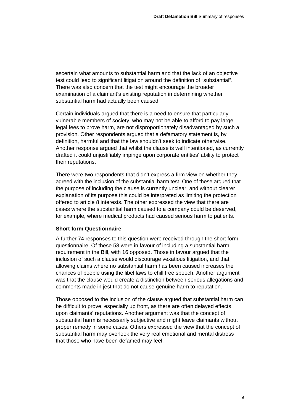ascertain what amounts to substantial harm and that the lack of an objective test could lead to significant litigation around the definition of "substantial". There was also concern that the test might encourage the broader examination of a claimant's existing reputation in determining whether substantial harm had actually been caused.

Certain individuals argued that there is a need to ensure that particularly vulnerable members of society, who may not be able to afford to pay large legal fees to prove harm, are not disproportionately disadvantaged by such a provision. Other respondents argued that a defamatory statement is, by definition, harmful and that the law shouldn't seek to indicate otherwise. Another response argued that whilst the clause is well intentioned, as currently drafted it could unjustifiably impinge upon corporate entities' ability to protect their reputations.

There were two respondents that didn't express a firm view on whether they agreed with the inclusion of the substantial harm test. One of these argued that the purpose of including the clause is currently unclear, and without clearer explanation of its purpose this could be interpreted as limiting the protection offered to article 8 interests. The other expressed the view that there are cases where the substantial harm caused to a company could be deserved, for example, where medical products had caused serious harm to patients.

#### **Short form Questionnaire**

A further 74 responses to this question were received through the short form questionnaire. Of these 58 were in favour of including a substantial harm requirement in the Bill, with 16 opposed. Those in favour argued that the inclusion of such a clause would discourage vexatious litigation, and that allowing claims where no substantial harm has been caused increases the chances of people using the libel laws to chill free speech. Another argument was that the clause would create a distinction between serious allegations and comments made in jest that do not cause genuine harm to reputation.

Those opposed to the inclusion of the clause argued that substantial harm can be difficult to prove, especially up front, as there are often delayed effects upon claimants' reputations. Another argument was that the concept of substantial harm is necessarily subjective and might leave claimants without proper remedy in some cases. Others expressed the view that the concept of substantial harm may overlook the very real emotional and mental distress that those who have been defamed may feel.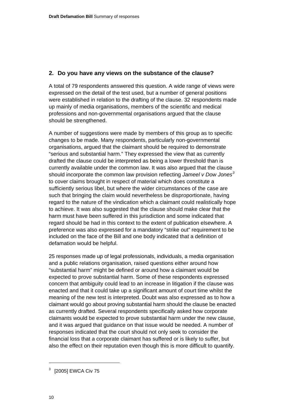#### **2. Do you have any views on the substance of the clause?**

A total of 79 respondents answered this question. A wide range of views were expressed on the detail of the test used, but a number of general positions were established in relation to the drafting of the clause. 32 respondents made up mainly of media organisations, members of the scientific and medical professions and non-governmental organisations argued that the clause should be strengthened.

A number of suggestions were made by members of this group as to specific changes to be made. Many respondents, particularly non-governmental organisations, argued that the claimant should be required to demonstrate "serious and substantial harm." They expressed the view that as currently drafted the clause could be interpreted as being a lower threshold than is currently available under the common law. It was also argued that the clause should incorporate the common law provision reflecting *Jameel v Dow Jones[3](#page-13-0)* to cover claims brought in respect of material which does constitute a sufficiently serious libel, but where the wider circumstances of the case are such that bringing the claim would nevertheless be disproportionate, having regard to the nature of the vindication which a claimant could realistically hope to achieve. It was also suggested that the clause should make clear that the harm must have been suffered in this jurisdiction and some indicated that regard should be had in this context to the extent of publication elsewhere. A preference was also expressed for a mandatory "strike out" requirement to be included on the face of the Bill and one body indicated that a definition of defamation would be helpful.

25 responses made up of legal professionals, individuals, a media organisation and a public relations organisation, raised questions either around how "substantial harm" might be defined or around how a claimant would be expected to prove substantial harm. Some of these respondents expressed concern that ambiguity could lead to an increase in litigation if the clause was enacted and that it could take up a significant amount of court time whilst the meaning of the new test is interpreted. Doubt was also expressed as to how a claimant would go about proving substantial harm should the clause be enacted as currently drafted. Several respondents specifically asked how corporate claimants would be expected to prove substantial harm under the new clause, and it was argued that guidance on that issue would be needed. A number of responses indicated that the court should not only seek to consider the financial loss that a corporate claimant has suffered or is likely to suffer, but also the effect on their reputation even though this is more difficult to quantify.

<span id="page-13-0"></span> $3$  [2005] EWCA Civ 75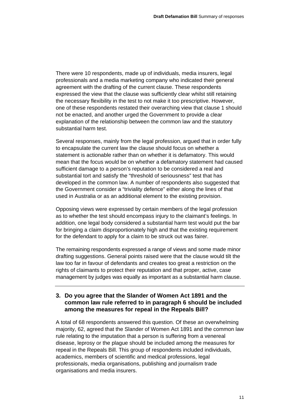There were 10 respondents, made up of individuals, media insurers, legal professionals and a media marketing company who indicated their general agreement with the drafting of the current clause. These respondents expressed the view that the clause was sufficiently clear whilst still retaining the necessary flexibility in the test to not make it too prescriptive. However, one of these respondents restated their overarching view that clause 1 should not be enacted, and another urged the Government to provide a clear explanation of the relationship between the common law and the statutory substantial harm test.

Several responses, mainly from the legal profession, argued that in order fully to encapsulate the current law the clause should focus on whether a statement is actionable rather than on whether it is defamatory. This would mean that the focus would be on whether a defamatory statement had caused sufficient damage to a person's reputation to be considered a real and substantial tort and satisfy the "threshold of seriousness" test that has developed in the common law. A number of respondents also suggested that the Government consider a "triviality defence" either along the lines of that used in Australia or as an additional element to the existing provision.

Opposing views were expressed by certain members of the legal profession as to whether the test should encompass injury to the claimant's feelings. In addition, one legal body considered a substantial harm test would put the bar for bringing a claim disproportionately high and that the existing requirement for the defendant to apply for a claim to be struck out was fairer.

The remaining respondents expressed a range of views and some made minor drafting suggestions. General points raised were that the clause would tilt the law too far in favour of defendants and creates too great a restriction on the rights of claimants to protect their reputation and that proper, active, case management by judges was equally as important as a substantial harm clause.

#### **3. Do you agree that the Slander of Women Act 1891 and the common law rule referred to in paragraph 6 should be included among the measures for repeal in the Repeals Bill?**

A total of 68 respondents answered this question. Of these an overwhelming majority, 62, agreed that the Slander of Women Act 1891 and the common law rule relating to the imputation that a person is suffering from a venereal disease, leprosy or the plague should be included among the measures for repeal in the Repeals Bill. This group of respondents included individuals, academics, members of scientific and medical professions, legal professionals, media organisations, publishing and journalism trade organisations and media insurers.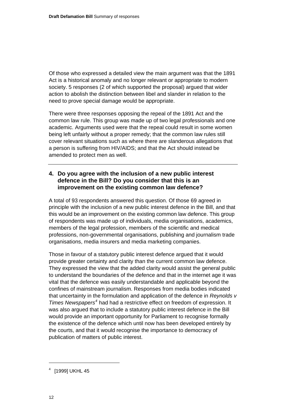Of those who expressed a detailed view the main argument was that the 1891 Act is a historical anomaly and no longer relevant or appropriate to modern society. 5 responses (2 of which supported the proposal) argued that wider action to abolish the distinction between libel and slander in relation to the need to prove special damage would be appropriate.

There were three responses opposing the repeal of the 1891 Act and the common law rule. This group was made up of two legal professionals and one academic. Arguments used were that the repeal could result in some women being left unfairly without a proper remedy; that the common law rules still cover relevant situations such as where there are slanderous allegations that a person is suffering from HIV/AIDS; and that the Act should instead be amended to protect men as well.

#### **4. Do you agree with the inclusion of a new public interest defence in the Bill? Do you consider that this is an improvement on the existing common law defence?**

A total of 93 respondents answered this question. Of those 69 agreed in principle with the inclusion of a new public interest defence in the Bill, and that this would be an improvement on the existing common law defence. This group of respondents was made up of individuals, media organisations, academics, members of the legal profession, members of the scientific and medical professions, non-governmental organisations, publishing and journalism trade organisations, media insurers and media marketing companies.

Those in favour of a statutory public interest defence argued that it would provide greater certainty and clarity than the current common law defence. They expressed the view that the added clarity would assist the general public to understand the boundaries of the defence and that in the internet age it was vital that the defence was easily understandable and applicable beyond the confines of mainstream journalism. Responses from media bodies indicated that uncertainty in the formulation and application of the defence in *Reynolds v Times Newspapers[4](#page-15-0)* had had a restrictive effect on freedom of expression. It was also argued that to include a statutory public interest defence in the Bill would provide an important opportunity for Parliament to recognise formally the existence of the defence which until now has been developed entirely by the courts, and that it would recognise the importance to democracy of publication of matters of public interest.

<span id="page-15-0"></span><sup>4</sup> [1999] UKHL 45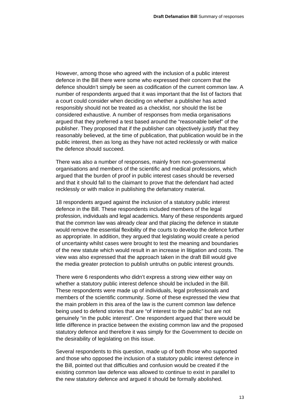However, among those who agreed with the inclusion of a public interest defence in the Bill there were some who expressed their concern that the defence shouldn't simply be seen as codification of the current common law. A number of respondents argued that it was important that the list of factors that a court could consider when deciding on whether a publisher has acted responsibly should not be treated as a checklist, nor should the list be considered exhaustive. A number of responses from media organisations argued that they preferred a test based around the "reasonable belief" of the publisher. They proposed that if the publisher can objectively justify that they reasonably believed, at the time of publication, that publication would be in the public interest, then as long as they have not acted recklessly or with malice the defence should succeed.

There was also a number of responses, mainly from non-governmental organisations and members of the scientific and medical professions, which argued that the burden of proof in public interest cases should be reversed and that it should fall to the claimant to prove that the defendant had acted recklessly or with malice in publishing the defamatory material.

18 respondents argued against the inclusion of a statutory public interest defence in the Bill. These respondents included members of the legal profession, individuals and legal academics. Many of these respondents argued that the common law was already clear and that placing the defence in statute would remove the essential flexibility of the courts to develop the defence further as appropriate. In addition, they argued that legislating would create a period of uncertainty whilst cases were brought to test the meaning and boundaries of the new statute which would result in an increase in litigation and costs. The view was also expressed that the approach taken in the draft Bill would give the media greater protection to publish untruths on public interest grounds.

There were 6 respondents who didn't express a strong view either way on whether a statutory public interest defence should be included in the Bill. These respondents were made up of individuals, legal professionals and members of the scientific community. Some of these expressed the view that the main problem in this area of the law is the current common law defence being used to defend stories that are "of interest to the public" but are not genuinely "in the public interest". One respondent argued that there would be little difference in practice between the existing common law and the proposed statutory defence and therefore it was simply for the Government to decide on the desirability of legislating on this issue.

Several respondents to this question, made up of both those who supported and those who opposed the inclusion of a statutory public interest defence in the Bill, pointed out that difficulties and confusion would be created if the existing common law defence was allowed to continue to exist in parallel to the new statutory defence and argued it should be formally abolished.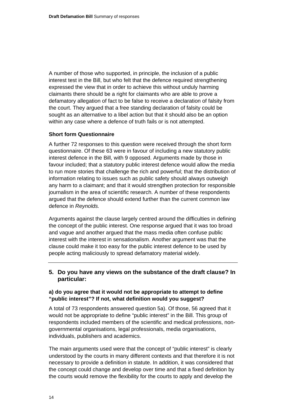A number of those who supported, in principle, the inclusion of a public interest test in the Bill, but who felt that the defence required strengthening expressed the view that in order to achieve this without unduly harming claimants there should be a right for claimants who are able to prove a defamatory allegation of fact to be false to receive a declaration of falsity from the court. They argued that a free standing declaration of falsity could be sought as an alternative to a libel action but that it should also be an option within any case where a defence of truth fails or is not attempted.

#### **Short form Questionnaire**

A further 72 responses to this question were received through the short form questionnaire. Of these 63 were in favour of including a new statutory public interest defence in the Bill, with 9 opposed. Arguments made by those in favour included; that a statutory public interest defence would allow the media to run more stories that challenge the rich and powerful; that the distribution of information relating to issues such as public safety should always outweigh any harm to a claimant; and that it would strengthen protection for responsible journalism in the area of scientific research. A number of these respondents argued that the defence should extend further than the current common law defence in *Reynolds.* 

Arguments against the clause largely centred around the difficulties in defining the concept of the public interest. One response argued that it was too broad and vague and another argued that the mass media often confuse public interest with the interest in sensationalism. Another argument was that the clause could make it too easy for the public interest defence to be used by people acting maliciously to spread defamatory material widely.

#### **5. Do you have any views on the substance of the draft clause? In particular:**

#### **a) do you agree that it would not be appropriate to attempt to define "public interest"? If not, what definition would you suggest?**

A total of 73 respondents answered question 5a). Of those, 56 agreed that it would not be appropriate to define "public interest" in the Bill. This group of respondents included members of the scientific and medical professions, nongovernmental organisations, legal professionals, media organisations, individuals, publishers and academics.

The main arguments used were that the concept of "public interest" is clearly understood by the courts in many different contexts and that therefore it is not necessary to provide a definition in statute. In addition, it was considered that the concept could change and develop over time and that a fixed definition by the courts would remove the flexibility for the courts to apply and develop the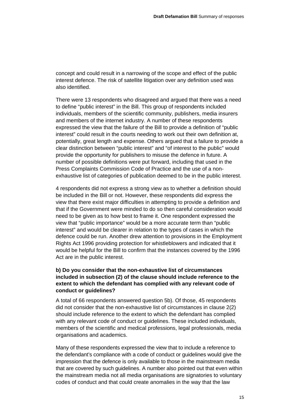concept and could result in a narrowing of the scope and effect of the public interest defence. The risk of satellite litigation over any definition used was also identified.

There were 13 respondents who disagreed and argued that there was a need to define "public interest" in the Bill. This group of respondents included individuals, members of the scientific community, publishers, media insurers and members of the internet industry. A number of these respondents expressed the view that the failure of the Bill to provide a definition of "public interest" could result in the courts needing to work out their own definition at, potentially, great length and expense. Others argued that a failure to provide a clear distinction between "public interest" and "of interest to the public" would provide the opportunity for publishers to misuse the defence in future. A number of possible definitions were put forward, including that used in the Press Complaints Commission Code of Practice and the use of a nonexhaustive list of categories of publication deemed to be in the public interest.

4 respondents did not express a strong view as to whether a definition should be included in the Bill or not. However, these respondents did express the view that there exist major difficulties in attempting to provide a definition and that if the Government were minded to do so then careful consideration would need to be given as to how best to frame it. One respondent expressed the view that "public importance" would be a more accurate term than "public interest" and would be clearer in relation to the types of cases in which the defence could be run. Another drew attention to provisions in the Employment Rights Act 1996 providing protection for whistleblowers and indicated that it would be helpful for the Bill to confirm that the instances covered by the 1996 Act are in the public interest.

#### **b) Do you consider that the non-exhaustive list of circumstances included in subsection (2) of the clause should include reference to the extent to which the defendant has complied with any relevant code of conduct or guidelines?**

A total of 66 respondents answered question 5b). Of those, 45 respondents did not consider that the non-exhaustive list of circumstances in clause 2(2) should include reference to the extent to which the defendant has complied with any relevant code of conduct or guidelines. These included individuals, members of the scientific and medical professions, legal professionals, media organisations and academics.

Many of these respondents expressed the view that to include a reference to the defendant's compliance with a code of conduct or guidelines would give the impression that the defence is only available to those in the mainstream media that are covered by such guidelines. A number also pointed out that even within the mainstream media not all media organisations are signatories to voluntary codes of conduct and that could create anomalies in the way that the law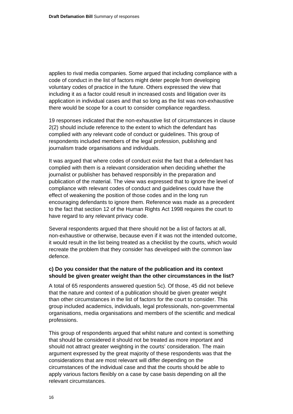applies to rival media companies. Some argued that including compliance with a code of conduct in the list of factors might deter people from developing voluntary codes of practice in the future. Others expressed the view that including it as a factor could result in increased costs and litigation over its application in individual cases and that so long as the list was non-exhaustive there would be scope for a court to consider compliance regardless.

19 responses indicated that the non-exhaustive list of circumstances in clause 2(2) should include reference to the extent to which the defendant has complied with any relevant code of conduct or guidelines. This group of respondents included members of the legal profession, publishing and journalism trade organisations and individuals.

It was argued that where codes of conduct exist the fact that a defendant has complied with them is a relevant consideration when deciding whether the journalist or publisher has behaved responsibly in the preparation and publication of the material. The view was expressed that to ignore the level of compliance with relevant codes of conduct and guidelines could have the effect of weakening the position of those codes and in the long run encouraging defendants to ignore them. Reference was made as a precedent to the fact that section 12 of the Human Rights Act 1998 requires the court to have regard to any relevant privacy code.

Several respondents argued that there should not be a list of factors at all, non-exhaustive or otherwise, because even if it was not the intended outcome, it would result in the list being treated as a checklist by the courts, which would recreate the problem that they consider has developed with the common law defence.

#### **c) Do you consider that the nature of the publication and its context should be given greater weight than the other circumstances in the list?**

A total of 65 respondents answered question 5c). Of those, 45 did not believe that the nature and context of a publication should be given greater weight than other circumstances in the list of factors for the court to consider. This group included academics, individuals, legal professionals, non-governmental organisations, media organisations and members of the scientific and medical professions.

This group of respondents argued that whilst nature and context is something that should be considered it should not be treated as more important and should not attract greater weighting in the courts' consideration. The main argument expressed by the great majority of these respondents was that the considerations that are most relevant will differ depending on the circumstances of the individual case and that the courts should be able to apply various factors flexibly on a case by case basis depending on all the relevant circumstances.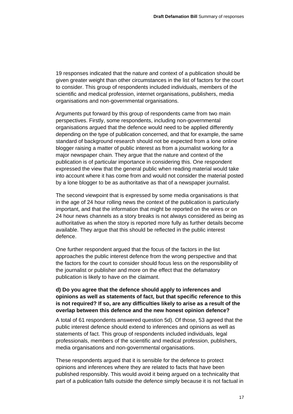19 responses indicated that the nature and context of a publication should be given greater weight than other circumstances in the list of factors for the court to consider. This group of respondents included individuals, members of the scientific and medical profession, internet organisations, publishers, media organisations and non-governmental organisations.

Arguments put forward by this group of respondents came from two main perspectives. Firstly, some respondents, including non-governmental organisations argued that the defence would need to be applied differently depending on the type of publication concerned, and that for example, the same standard of background research should not be expected from a lone online blogger raising a matter of public interest as from a journalist working for a major newspaper chain. They argue that the nature and context of the publication is of particular importance in considering this. One respondent expressed the view that the general public when reading material would take into account where it has come from and would not consider the material posted by a lone blogger to be as authoritative as that of a newspaper journalist.

The second viewpoint that is expressed by some media organisations is that in the age of 24 hour rolling news the context of the publication is particularly important, and that the information that might be reported on the wires or on 24 hour news channels as a story breaks is not always considered as being as authoritative as when the story is reported more fully as further details become available. They argue that this should be reflected in the public interest defence.

One further respondent argued that the focus of the factors in the list approaches the public interest defence from the wrong perspective and that the factors for the court to consider should focus less on the responsibility of the journalist or publisher and more on the effect that the defamatory publication is likely to have on the claimant.

#### **d) Do you agree that the defence should apply to inferences and opinions as well as statements of fact, but that specific reference to this is not required? If so, are any difficulties likely to arise as a result of the overlap between this defence and the new honest opinion defence?**

A total of 61 respondents answered question 5d). Of those, 53 agreed that the public interest defence should extend to inferences and opinions as well as statements of fact. This group of respondents included individuals, legal professionals, members of the scientific and medical profession, publishers, media organisations and non-governmental organisations.

These respondents argued that it is sensible for the defence to protect opinions and inferences where they are related to facts that have been published responsibly. This would avoid it being argued on a technicality that part of a publication falls outside the defence simply because it is not factual in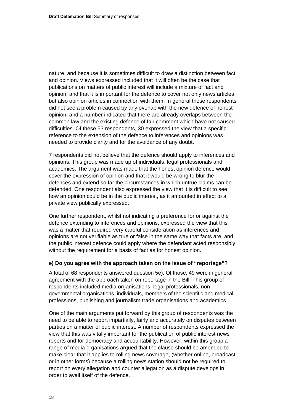nature, and because it is sometimes difficult to draw a distinction between fact and opinion. Views expressed included that it will often be the case that publications on matters of public interest will include a mixture of fact and opinion, and that it is important for the defence to cover not only news articles but also opinion articles in connection with them. In general these respondents did not see a problem caused by any overlap with the new defence of honest opinion, and a number indicated that there are already overlaps between the common law and the existing defence of fair comment which have not caused difficulties. Of these 53 respondents, 30 expressed the view that a specific reference to the extension of the defence to inferences and opinions was needed to provide clarity and for the avoidance of any doubt.

7 respondents did not believe that the defence should apply to inferences and opinions. This group was made up of individuals, legal professionals and academics. The argument was made that the honest opinion defence would cover the expression of opinion and that it would be wrong to blur the defences and extend so far the circumstances in which untrue claims can be defended. One respondent also expressed the view that it is difficult to see how an opinion could be in the public interest, as it amounted in effect to a private view publically expressed.

One further respondent, whilst not indicating a preference for or against the defence extending to inferences and opinions, expressed the view that this was a matter that required very careful consideration as inferences and opinions are not verifiable as true or false in the same way that facts are, and the public interest defence could apply where the defendant acted responsibly without the requirement for a basis of fact as for honest opinion.

#### **e) Do you agree with the approach taken on the issue of "reportage"?**

A total of 68 respondents answered question 5e). Of those, 49 were in general agreement with the approach taken on reportage in the Bill. This group of respondents included media organisations, legal professionals, nongovernmental organisations, individuals, members of the scientific and medical professions, publishing and journalism trade organisations and academics.

One of the main arguments put forward by this group of respondents was the need to be able to report impartially, fairly and accurately on disputes between parties on a matter of public interest. A number of respondents expressed the view that this was vitally important for the publication of public interest news reports and for democracy and accountability. However, within this group a range of media organisations argued that the clause should be amended to make clear that it applies to rolling news coverage, (whether online, broadcast or in other forms) because a rolling news station should not be required to report on every allegation and counter allegation as a dispute develops in order to avail itself of the defence.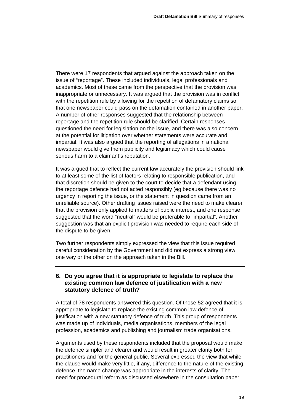There were 17 respondents that argued against the approach taken on the issue of "reportage". These included individuals, legal professionals and academics. Most of these came from the perspective that the provision was inappropriate or unnecessary. It was argued that the provision was in conflict with the repetition rule by allowing for the repetition of defamatory claims so that one newspaper could pass on the defamation contained in another paper. A number of other responses suggested that the relationship between reportage and the repetition rule should be clarified. Certain responses questioned the need for legislation on the issue, and there was also concern at the potential for litigation over whether statements were accurate and impartial. It was also argued that the reporting of allegations in a national newspaper would give them publicity and legitimacy which could cause serious harm to a claimant's reputation.

It was argued that to reflect the current law accurately the provision should link to at least some of the list of factors relating to responsible publication, and that discretion should be given to the court to decide that a defendant using the reportage defence had not acted responsibly (eg because there was no urgency in reporting the issue, or the statement in question came from an unreliable source). Other drafting issues raised were the need to make clearer that the provision only applied to matters of public interest, and one response suggested that the word "neutral" would be preferable to "impartial". Another suggestion was that an explicit provision was needed to require each side of the dispute to be given.

Two further respondents simply expressed the view that this issue required careful consideration by the Government and did not express a strong view one way or the other on the approach taken in the Bill.

#### **6. Do you agree that it is appropriate to legislate to replace the existing common law defence of justification with a new statutory defence of truth?**

A total of 78 respondents answered this question. Of those 52 agreed that it is appropriate to legislate to replace the existing common law defence of justification with a new statutory defence of truth. This group of respondents was made up of individuals, media organisations, members of the legal profession, academics and publishing and journalism trade organisations.

Arguments used by these respondents included that the proposal would make the defence simpler and clearer and would result in greater clarity both for practitioners and for the general public. Several expressed the view that while the clause would make very little, if any, difference to the nature of the existing defence, the name change was appropriate in the interests of clarity. The need for procedural reform as discussed elsewhere in the consultation paper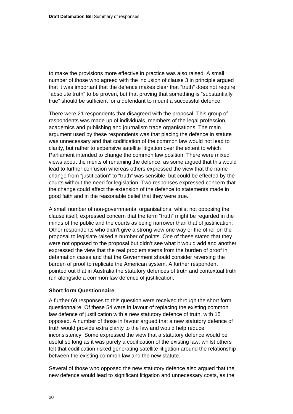to make the provisions more effective in practice was also raised. A small number of those who agreed with the inclusion of clause 3 in principle argued that it was important that the defence makes clear that "truth" does not require "absolute truth" to be proven, but that proving that something is "substantially true" should be sufficient for a defendant to mount a successful defence.

There were 21 respondents that disagreed with the proposal. This group of respondents was made up of individuals, members of the legal profession, academics and publishing and journalism trade organisations. The main argument used by these respondents was that placing the defence in statute was unnecessary and that codification of the common law would not lead to clarity, but rather to expensive satellite litigation over the extent to which Parliament intended to change the common law position. There were mixed views about the merits of renaming the defence, as some argued that this would lead to further confusion whereas others expressed the view that the name change from "justification" to "truth" was sensible, but could be effected by the courts without the need for legislation. Two responses expressed concern that the change could affect the extension of the defence to statements made in good faith and in the reasonable belief that they were true.

A small number of non-governmental organisations, whilst not opposing the clause itself, expressed concern that the term "truth" might be regarded in the minds of the public and the courts as being narrower than that of justification. Other respondents who didn't give a strong view one way or the other on the proposal to legislate raised a number of points. One of these stated that they were not opposed to the proposal but didn't see what it would add and another expressed the view that the real problem stems from the burden of proof in defamation cases and that the Government should consider reversing the burden of proof to replicate the American system. A further respondent pointed out that in Australia the statutory defences of truth and contextual truth run alongside a common law defence of justification.

#### **Short form Questionnaire**

A further 69 responses to this question were received through the short form questionnaire. Of these 54 were in favour of replacing the existing common law defence of justification with a new statutory defence of truth, with 15 opposed. A number of those in favour argued that a new statutory defence of truth would provide extra clarity to the law and would help reduce inconsistency. Some expressed the view that a statutory defence would be useful so long as it was purely a codification of the existing law, whilst others felt that codification risked generating satellite litigation around the relationship between the existing common law and the new statute.

Several of those who opposed the new statutory defence also argued that the new defence would lead to significant litigation and unnecessary costs, as the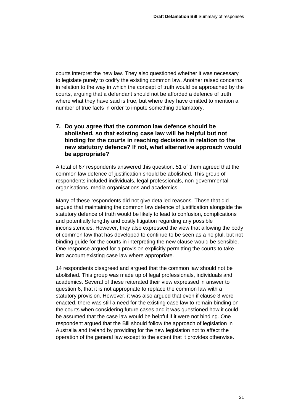courts interpret the new law. They also questioned whether it was necessary to legislate purely to codify the existing common law. Another raised concerns in relation to the way in which the concept of truth would be approached by the courts, arguing that a defendant should not be afforded a defence of truth where what they have said is true, but where they have omitted to mention a number of true facts in order to impute something defamatory.

#### **7. Do you agree that the common law defence should be abolished, so that existing case law will be helpful but not binding for the courts in reaching decisions in relation to the new statutory defence? If not, what alternative approach would be appropriate?**

A total of 67 respondents answered this question. 51 of them agreed that the common law defence of justification should be abolished. This group of respondents included individuals, legal professionals, non-governmental organisations, media organisations and academics.

Many of these respondents did not give detailed reasons. Those that did argued that maintaining the common law defence of justification alongside the statutory defence of truth would be likely to lead to confusion, complications and potentially lengthy and costly litigation regarding any possible inconsistencies. However, they also expressed the view that allowing the body of common law that has developed to continue to be seen as a helpful, but not binding guide for the courts in interpreting the new clause would be sensible. One response argued for a provision explicitly permitting the courts to take into account existing case law where appropriate.

14 respondents disagreed and argued that the common law should not be abolished. This group was made up of legal professionals, individuals and academics. Several of these reiterated their view expressed in answer to question 6, that it is not appropriate to replace the common law with a statutory provision. However, it was also argued that even if clause 3 were enacted, there was still a need for the existing case law to remain binding on the courts when considering future cases and it was questioned how it could be assumed that the case law would be helpful if it were not binding. One respondent argued that the Bill should follow the approach of legislation in Australia and Ireland by providing for the new legislation not to affect the operation of the general law except to the extent that it provides otherwise.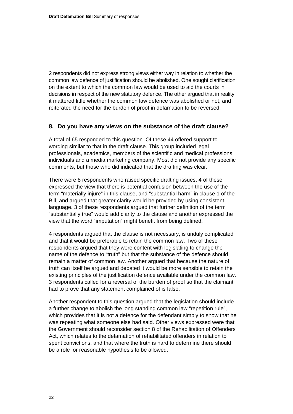2 respondents did not express strong views either way in relation to whether the common law defence of justification should be abolished. One sought clarification on the extent to which the common law would be used to aid the courts in decisions in respect of the new statutory defence. The other argued that in reality it mattered little whether the common law defence was abolished or not, and reiterated the need for the burden of proof in defamation to be reversed.

#### **8. Do you have any views on the substance of the draft clause?**

A total of 65 responded to this question. Of these 44 offered support to wording similar to that in the draft clause. This group included legal professionals, academics, members of the scientific and medical professions, individuals and a media marketing company. Most did not provide any specific comments, but those who did indicated that the drafting was clear.

There were 8 respondents who raised specific drafting issues. 4 of these expressed the view that there is potential confusion between the use of the term "materially injure" in this clause, and "substantial harm" in clause 1 of the Bill, and argued that greater clarity would be provided by using consistent language. 3 of these respondents argued that further definition of the term "substantially true" would add clarity to the clause and another expressed the view that the word "imputation" might benefit from being defined.

4 respondents argued that the clause is not necessary, is unduly complicated and that it would be preferable to retain the common law. Two of these respondents argued that they were content with legislating to change the name of the defence to "truth" but that the substance of the defence should remain a matter of common law. Another argued that because the nature of truth can itself be argued and debated it would be more sensible to retain the existing principles of the justification defence available under the common law. 3 respondents called for a reversal of the burden of proof so that the claimant had to prove that any statement complained of is false.

Another respondent to this question argued that the legislation should include a further change to abolish the long standing common law "repetition rule", which provides that it is not a defence for the defendant simply to show that he was repeating what someone else had said. Other views expressed were that the Government should reconsider section 8 of the Rehabilitation of Offenders Act, which relates to the defamation of rehabilitated offenders in relation to spent convictions, and that where the truth is hard to determine there should be a role for reasonable hypothesis to be allowed.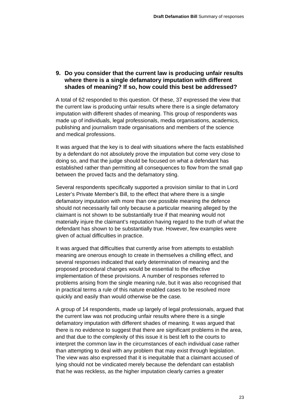#### **9. Do you consider that the current law is producing unfair results where there is a single defamatory imputation with different shades of meaning? If so, how could this best be addressed?**

A total of 62 responded to this question. Of these, 37 expressed the view that the current law is producing unfair results where there is a single defamatory imputation with different shades of meaning. This group of respondents was made up of individuals, legal professionals, media organisations, academics, publishing and journalism trade organisations and members of the science and medical professions.

It was argued that the key is to deal with situations where the facts established by a defendant do not absolutely prove the imputation but come very close to doing so, and that the judge should be focused on what a defendant has established rather than permitting all consequences to flow from the small gap between the proved facts and the defamatory sting.

Several respondents specifically supported a provision similar to that in Lord Lester's Private Member's Bill, to the effect that where there is a single defamatory imputation with more than one possible meaning the defence should not necessarily fail only because a particular meaning alleged by the claimant is not shown to be substantially true if that meaning would not materially injure the claimant's reputation having regard to the truth of what the defendant has shown to be substantially true. However, few examples were given of actual difficulties in practice.

It was argued that difficulties that currently arise from attempts to establish meaning are onerous enough to create in themselves a chilling effect, and several responses indicated that early determination of meaning and the proposed procedural changes would be essential to the effective implementation of these provisions. A number of responses referred to problems arising from the single meaning rule, but it was also recognised that in practical terms a rule of this nature enabled cases to be resolved more quickly and easily than would otherwise be the case.

A group of 14 respondents, made up largely of legal professionals, argued that the current law was not producing unfair results where there is a single defamatory imputation with different shades of meaning. It was argued that there is no evidence to suggest that there are significant problems in the area, and that due to the complexity of this issue it is best left to the courts to interpret the common law in the circumstances of each individual case rather than attempting to deal with any problem that may exist through legislation. The view was also expressed that it is inequitable that a claimant accused of lying should not be vindicated merely because the defendant can establish that he was reckless, as the higher imputation clearly carries a greater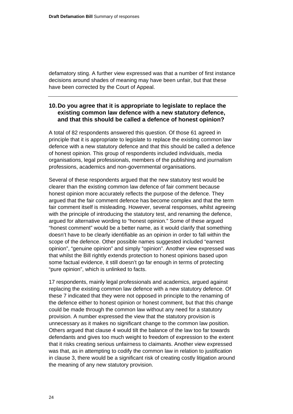defamatory sting. A further view expressed was that a number of first instance decisions around shades of meaning may have been unfair, but that these have been corrected by the Court of Appeal.

#### **10. Do you agree that it is appropriate to legislate to replace the existing common law defence with a new statutory defence, and that this should be called a defence of honest opinion?**

A total of 82 respondents answered this question. Of those 61 agreed in principle that it is appropriate to legislate to replace the existing common law defence with a new statutory defence and that this should be called a defence of honest opinion. This group of respondents included individuals, media organisations, legal professionals, members of the publishing and journalism professions, academics and non-governmental organisations.

Several of these respondents argued that the new statutory test would be clearer than the existing common law defence of fair comment because honest opinion more accurately reflects the purpose of the defence. They argued that the fair comment defence has become complex and that the term fair comment itself is misleading. However, several responses, whilst agreeing with the principle of introducing the statutory test, and renaming the defence, argued for alternative wording to "honest opinion." Some of these argued "honest comment" would be a better name, as it would clarify that something doesn't have to be clearly identifiable as an opinion in order to fall within the scope of the defence. Other possible names suggested included "earnest opinion", "genuine opinion" and simply "opinion". Another view expressed was that whilst the Bill rightly extends protection to honest opinions based upon some factual evidence, it still doesn't go far enough in terms of protecting "pure opinion", which is unlinked to facts.

17 respondents, mainly legal professionals and academics, argued against replacing the existing common law defence with a new statutory defence. Of these 7 indicated that they were not opposed in principle to the renaming of the defence either to honest opinion or honest comment, but that this change could be made through the common law without any need for a statutory provision. A number expressed the view that the statutory provision is unnecessary as it makes no significant change to the common law position. Others argued that clause 4 would tilt the balance of the law too far towards defendants and gives too much weight to freedom of expression to the extent that it risks creating serious unfairness to claimants. Another view expressed was that, as in attempting to codify the common law in relation to justification in clause 3, there would be a significant risk of creating costly litigation around the meaning of any new statutory provision.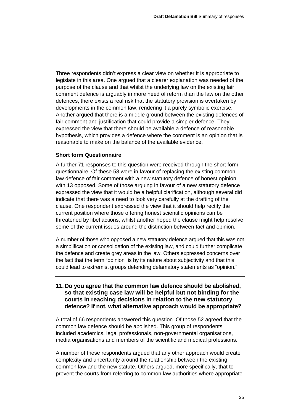Three respondents didn't express a clear view on whether it is appropriate to legislate in this area. One argued that a clearer explanation was needed of the purpose of the clause and that whilst the underlying law on the existing fair comment defence is arguably in more need of reform than the law on the other defences, there exists a real risk that the statutory provision is overtaken by developments in the common law, rendering it a purely symbolic exercise. Another argued that there is a middle ground between the existing defences of fair comment and justification that could provide a simpler defence. They expressed the view that there should be available a defence of reasonable hypothesis, which provides a defence where the comment is an opinion that is reasonable to make on the balance of the available evidence.

#### **Short form Questionnaire**

A further 71 responses to this question were received through the short form questionnaire. Of these 58 were in favour of replacing the existing common law defence of fair comment with a new statutory defence of honest opinion, with 13 opposed. Some of those arguing in favour of a new statutory defence expressed the view that it would be a helpful clarification, although several did indicate that there was a need to look very carefully at the drafting of the clause. One respondent expressed the view that it should help rectify the current position where those offering honest scientific opinions can be threatened by libel actions, whilst another hoped the clause might help resolve some of the current issues around the distinction between fact and opinion.

A number of those who opposed a new statutory defence argued that this was not a simplification or consolidation of the existing law, and could further complicate the defence and create grey areas in the law. Others expressed concerns over the fact that the term "opinion" is by its nature about subjectivity and that this could lead to extremist groups defending defamatory statements as "opinion."

#### **11. Do you agree that the common law defence should be abolished, so that existing case law will be helpful but not binding for the courts in reaching decisions in relation to the new statutory defence? If not, what alternative approach would be appropriate?**

A total of 66 respondents answered this question. Of those 52 agreed that the common law defence should be abolished. This group of respondents included academics, legal professionals, non-governmental organisations, media organisations and members of the scientific and medical professions.

A number of these respondents argued that any other approach would create complexity and uncertainty around the relationship between the existing common law and the new statute. Others argued, more specifically, that to prevent the courts from referring to common law authorities where appropriate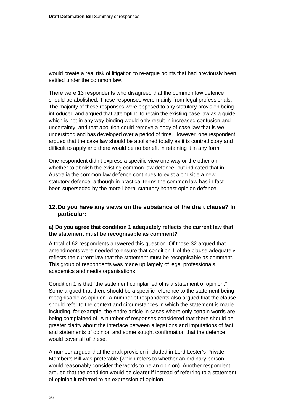would create a real risk of litigation to re-argue points that had previously been settled under the common law.

There were 13 respondents who disagreed that the common law defence should be abolished. These responses were mainly from legal professionals. The majority of these responses were opposed to any statutory provision being introduced and argued that attempting to retain the existing case law as a guide which is not in any way binding would only result in increased confusion and uncertainty, and that abolition could remove a body of case law that is well understood and has developed over a period of time. However, one respondent argued that the case law should be abolished totally as it is contradictory and difficult to apply and there would be no benefit in retaining it in any form.

One respondent didn't express a specific view one way or the other on whether to abolish the existing common law defence, but indicated that in Australia the common law defence continues to exist alongside a new statutory defence, although in practical terms the common law has in fact been superseded by the more liberal statutory honest opinion defence.

#### **12. Do you have any views on the substance of the draft clause? In particular:**

#### **a) Do you agree that condition 1 adequately reflects the current law that the statement must be recognisable as comment?**

A total of 62 respondents answered this question. Of those 32 argued that amendments were needed to ensure that condition 1 of the clause adequately reflects the current law that the statement must be recognisable as comment. This group of respondents was made up largely of legal professionals, academics and media organisations.

Condition 1 is that "the statement complained of is a statement of opinion." Some argued that there should be a specific reference to the statement being recognisable as opinion. A number of respondents also argued that the clause should refer to the context and circumstances in which the statement is made including, for example, the entire article in cases where only certain words are being complained of. A number of responses considered that there should be greater clarity about the interface between allegations and imputations of fact and statements of opinion and some sought confirmation that the defence would cover all of these.

A number argued that the draft provision included in Lord Lester's Private Member's Bill was preferable (which refers to whether an ordinary person would reasonably consider the words to be an opinion). Another respondent argued that the condition would be clearer if instead of referring to a statement of opinion it referred to an expression of opinion.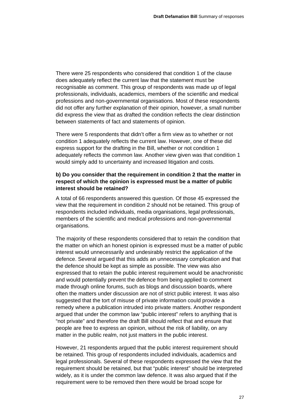There were 25 respondents who considered that condition 1 of the clause does adequately reflect the current law that the statement must be recognisable as comment. This group of respondents was made up of legal professionals, individuals, academics, members of the scientific and medical professions and non-governmental organisations. Most of these respondents did not offer any further explanation of their opinion, however, a small number did express the view that as drafted the condition reflects the clear distinction between statements of fact and statements of opinion.

There were 5 respondents that didn't offer a firm view as to whether or not condition 1 adequately reflects the current law. However, one of these did express support for the drafting in the Bill, whether or not condition 1 adequately reflects the common law. Another view given was that condition 1 would simply add to uncertainty and increased litigation and costs.

#### **b) Do you consider that the requirement in condition 2 that the matter in respect of which the opinion is expressed must be a matter of public interest should be retained?**

A total of 66 respondents answered this question. Of those 45 expressed the view that the requirement in condition 2 should not be retained. This group of respondents included individuals, media organisations, legal professionals, members of the scientific and medical professions and non-governmental organisations.

The majority of these respondents considered that to retain the condition that the matter on which an honest opinion is expressed must be a matter of public interest would unnecessarily and undesirably restrict the application of the defence. Several argued that this adds an unnecessary complication and that the defence should be kept as simple as possible. The view was also expressed that to retain the public interest requirement would be anachronistic and would potentially prevent the defence from being applied to comment made through online forums, such as blogs and discussion boards, where often the matters under discussion are not of strict public interest. It was also suggested that the tort of misuse of private information could provide a remedy where a publication intruded into private matters. Another respondent argued that under the common law "public interest" refers to anything that is "not private" and therefore the draft Bill should reflect that and ensure that people are free to express an opinion, without the risk of liability, on any matter in the public realm, not just matters in the public interest.

However, 21 respondents argued that the public interest requirement should be retained. This group of respondents included individuals, academics and legal professionals. Several of these respondents expressed the view that the requirement should be retained, but that "public interest" should be interpreted widely, as it is under the common law defence. It was also argued that if the requirement were to be removed then there would be broad scope for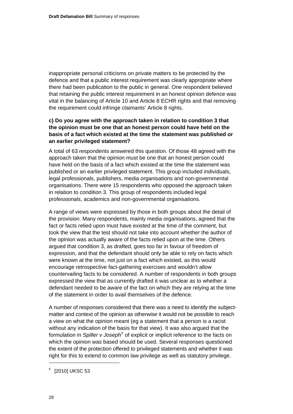inappropriate personal criticisms on private matters to be protected by the defence and that a public interest requirement was clearly appropriate where there had been publication to the public in general. One respondent believed that retaining the public interest requirement in an honest opinion defence was vital in the balancing of Article 10 and Article 8 ECHR rights and that removing the requirement could infringe claimants' Article 8 rights.

#### **c) Do you agree with the approach taken in relation to condition 3 that the opinion must be one that an honest person could have held on the basis of a fact which existed at the time the statement was published or an earlier privileged statement?**

A total of 63 respondents answered this question. Of those 48 agreed with the approach taken that the opinion must be one that an honest person could have held on the basis of a fact which existed at the time the statement was published or an earlier privileged statement. This group included individuals, legal professionals, publishers, media organisations and non-governmental organisations. There were 15 respondents who opposed the approach taken in relation to condition 3. This group of respondents included legal professionals, academics and non-governmental organisations.

A range of views were expressed by those in both groups about the detail of the provision. Many respondents, mainly media organisations, agreed that the fact or facts relied upon must have existed at the time of the comment, but took the view that the test should not take into account whether the author of the opinion was actually aware of the facts relied upon at the time. Others argued that condition 3, as drafted, goes too far in favour of freedom of expression, and that the defendant should only be able to rely on facts which were known at the time, not just on a fact which existed, as this would encourage retrospective fact-gathering exercises and wouldn't allow countervailing facts to be considered. A number of respondents in both groups expressed the view that as currently drafted it was unclear as to whether a defendant needed to be aware of the fact on which they are relying at the time of the statement in order to avail themselves of the defence.

A number of responses considered that there was a need to identify the subjectmatter and context of the opinion as otherwise it would not be possible to reach a view on what the opinion meant (eg a statement that a person is a racist without any indication of the basis for that view). It was also argued that the formulation in *Spiller v Joseph[5](#page-31-0)* of explicit or implicit reference to the facts on which the opinion was based should be used. Several responses questioned the extent of the protection offered to privileged statements and whether it was right for this to extend to common law privilege as well as statutory privilege.

<span id="page-31-0"></span> $5$  [2010] UKSC 53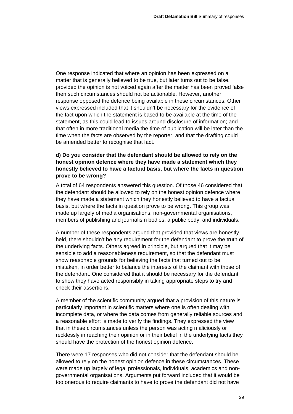One response indicated that where an opinion has been expressed on a matter that is generally believed to be true, but later turns out to be false, provided the opinion is not voiced again after the matter has been proved false then such circumstances should not be actionable. However, another response opposed the defence being available in these circumstances. Other views expressed included that it shouldn't be necessary for the evidence of the fact upon which the statement is based to be available at the time of the statement, as this could lead to issues around disclosure of information; and that often in more traditional media the time of publication will be later than the time when the facts are observed by the reporter, and that the drafting could be amended better to recognise that fact.

#### **d) Do you consider that the defendant should be allowed to rely on the honest opinion defence where they have made a statement which they honestly believed to have a factual basis, but where the facts in question prove to be wrong?**

A total of 64 respondents answered this question. Of those 46 considered that the defendant should be allowed to rely on the honest opinion defence where they have made a statement which they honestly believed to have a factual basis, but where the facts in question prove to be wrong. This group was made up largely of media organisations, non-governmental organisations, members of publishing and journalism bodies, a public body, and individuals.

A number of these respondents argued that provided that views are honestly held, there shouldn't be any requirement for the defendant to prove the truth of the underlying facts. Others agreed in principle, but argued that it may be sensible to add a reasonableness requirement, so that the defendant must show reasonable grounds for believing the facts that turned out to be mistaken, in order better to balance the interests of the claimant with those of the defendant. One considered that it should be necessary for the defendant to show they have acted responsibly in taking appropriate steps to try and check their assertions.

A member of the scientific community argued that a provision of this nature is particularly important in scientific matters where one is often dealing with incomplete data, or where the data comes from generally reliable sources and a reasonable effort is made to verify the findings. They expressed the view that in these circumstances unless the person was acting maliciously or recklessly in reaching their opinion or in their belief in the underlying facts they should have the protection of the honest opinion defence.

There were 17 responses who did not consider that the defendant should be allowed to rely on the honest opinion defence in these circumstances. These were made up largely of legal professionals, individuals, academics and nongovernmental organisations. Arguments put forward included that it would be too onerous to require claimants to have to prove the defendant did not have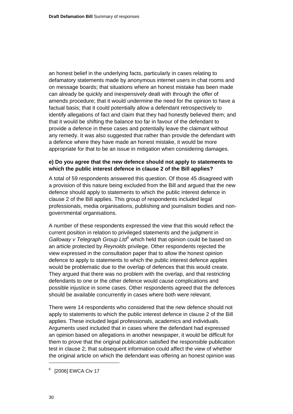an honest belief in the underlying facts, particularly in cases relating to defamatory statements made by anonymous internet users in chat rooms and on message boards; that situations where an honest mistake has been made can already be quickly and inexpensively dealt with through the offer of amends procedure; that it would undermine the need for the opinion to have a factual basis; that it could potentially allow a defendant retrospectively to identify allegations of fact and claim that they had honestly believed them; and that it would be shifting the balance too far in favour of the defendant to provide a defence in these cases and potentially leave the claimant without any remedy. It was also suggested that rather than provide the defendant with a defence where they have made an honest mistake, it would be more appropriate for that to be an issue in mitigation when considering damages.

#### **e) Do you agree that the new defence should not apply to statements to which the public interest defence in clause 2 of the Bill applies?**

A total of 59 respondents answered this question. Of those 45 disagreed with a provision of this nature being excluded from the Bill and argued that the new defence should apply to statements to which the public interest defence in clause 2 of the Bill applies. This group of respondents included legal professionals, media organisations, publishing and journalism bodies and nongovernmental organisations.

A number of these respondents expressed the view that this would reflect the current position in relation to privileged statements and the judgment in *Galloway v Telegraph Group Ltd*<sup>[6](#page-33-0)</sup> which held that opinion could be based on an article protected by *Reynolds* privilege. Other respondents rejected the view expressed in the consultation paper that to allow the honest opinion defence to apply to statements to which the public interest defence applies would be problematic due to the overlap of defences that this would create. They argued that there was no problem with the overlap, and that restricting defendants to one or the other defence would cause complications and possible injustice in some cases. Other respondents agreed that the defences should be available concurrently in cases where both were relevant.

There were 14 respondents who considered that the new defence should not apply to statements to which the public interest defence in clause 2 of the Bill applies. These included legal professionals, academics and individuals. Arguments used included that in cases where the defendant had expressed an opinion based on allegations in another newspaper, it would be difficult for them to prove that the original publication satisfied the responsible publication test in clause 2; that subsequent information could affect the view of whether the original article on which the defendant was offering an honest opinion was

<span id="page-33-0"></span><sup>&</sup>lt;sup>6</sup> [2006] EWCA Civ 17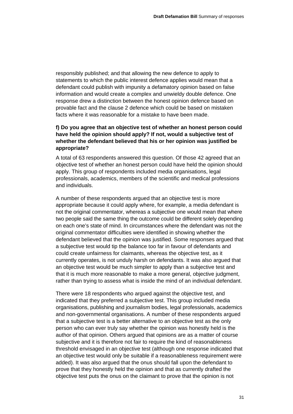responsibly published; and that allowing the new defence to apply to statements to which the public interest defence applies would mean that a defendant could publish with impunity a defamatory opinion based on false information and would create a complex and unwieldy double defence. One response drew a distinction between the honest opinion defence based on provable fact and the clause 2 defence which could be based on mistaken facts where it was reasonable for a mistake to have been made.

#### **f) Do you agree that an objective test of whether an honest person could have held the opinion should apply? If not, would a subjective test of whether the defendant believed that his or her opinion was justified be appropriate?**

A total of 63 respondents answered this question. Of those 42 agreed that an objective test of whether an honest person could have held the opinion should apply. This group of respondents included media organisations, legal professionals, academics, members of the scientific and medical professions and individuals.

A number of these respondents argued that an objective test is more appropriate because it could apply where, for example, a media defendant is not the original commentator, whereas a subjective one would mean that where two people said the same thing the outcome could be different solely depending on each one's state of mind. In circumstances where the defendant was not the original commentator difficulties were identified in showing whether the defendant believed that the opinion was justified. Some responses argued that a subjective test would tip the balance too far in favour of defendants and could create unfairness for claimants, whereas the objective test, as it currently operates, is not unduly harsh on defendants. It was also argued that an objective test would be much simpler to apply than a subjective test and that it is much more reasonable to make a more general, objective judgment, rather than trying to assess what is inside the mind of an individual defendant.

There were 18 respondents who argued against the objective test, and indicated that they preferred a subjective test. This group included media organisations, publishing and journalism bodies, legal professionals, academics and non-governmental organisations. A number of these respondents argued that a subjective test is a better alternative to an objective test as the only person who can ever truly say whether the opinion was honestly held is the author of that opinion. Others argued that opinions are as a matter of course subjective and it is therefore not fair to require the kind of reasonableness threshold envisaged in an objective test (although one response indicated that an objective test would only be suitable if a reasonableness requirement were added). It was also argued that the onus should fall upon the defendant to prove that they honestly held the opinion and that as currently drafted the objective test puts the onus on the claimant to prove that the opinion is not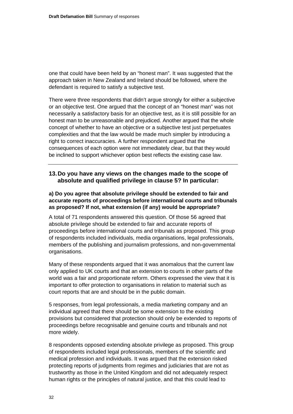one that could have been held by an "honest man". It was suggested that the approach taken in New Zealand and Ireland should be followed, where the defendant is required to satisfy a subjective test.

There were three respondents that didn't argue strongly for either a subjective or an objective test. One argued that the concept of an "honest man" was not necessarily a satisfactory basis for an objective test, as it is still possible for an honest man to be unreasonable and prejudiced. Another argued that the whole concept of whether to have an objective or a subjective test just perpetuates complexities and that the law would be made much simpler by introducing a right to correct inaccuracies. A further respondent argued that the consequences of each option were not immediately clear, but that they would be inclined to support whichever option best reflects the existing case law.

#### **13. Do you have any views on the changes made to the scope of absolute and qualified privilege in clause 5? In particular:**

#### **a) Do you agree that absolute privilege should be extended to fair and accurate reports of proceedings before international courts and tribunals as proposed? If not, what extension (if any) would be appropriate?**

A total of 71 respondents answered this question. Of those 56 agreed that absolute privilege should be extended to fair and accurate reports of proceedings before international courts and tribunals as proposed. This group of respondents included individuals, media organisations, legal professionals, members of the publishing and journalism professions, and non-governmental organisations.

Many of these respondents argued that it was anomalous that the current law only applied to UK courts and that an extension to courts in other parts of the world was a fair and proportionate reform. Others expressed the view that it is important to offer protection to organisations in relation to material such as court reports that are and should be in the public domain.

5 responses, from legal professionals, a media marketing company and an individual agreed that there should be some extension to the existing provisions but considered that protection should only be extended to reports of proceedings before recognisable and genuine courts and tribunals and not more widely.

8 respondents opposed extending absolute privilege as proposed. This group of respondents included legal professionals, members of the scientific and medical profession and individuals. It was argued that the extension risked protecting reports of judgments from regimes and judiciaries that are not as trustworthy as those in the United Kingdom and did not adequately respect human rights or the principles of natural justice, and that this could lead to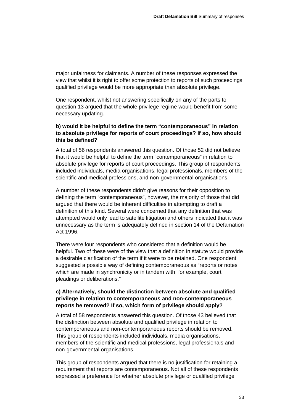major unfairness for claimants. A number of these responses expressed the view that whilst it is right to offer some protection to reports of such proceedings, qualified privilege would be more appropriate than absolute privilege.

One respondent, whilst not answering specifically on any of the parts to question 13 argued that the whole privilege regime would benefit from some necessary updating.

## **b) would it be helpful to define the term "contemporaneous" in relation to absolute privilege for reports of court proceedings? If so, how should this be defined?**

A total of 56 respondents answered this question. Of those 52 did not believe that it would be helpful to define the term "contemporaneous" in relation to absolute privilege for reports of court proceedings. This group of respondents included individuals, media organisations, legal professionals, members of the scientific and medical professions, and non-governmental organisations.

A number of these respondents didn't give reasons for their opposition to defining the term "contemporaneous", however, the majority of those that did argued that there would be inherent difficulties in attempting to draft a definition of this kind. Several were concerned that any definition that was attempted would only lead to satellite litigation and others indicated that it was unnecessary as the term is adequately defined in section 14 of the Defamation Act 1996.

There were four respondents who considered that a definition would be helpful. Two of these were of the view that a definition in statute would provide a desirable clarification of the term if it were to be retained. One respondent suggested a possible way of defining contemporaneous as "reports or notes which are made in synchronicity or in tandem with, for example, court pleadings or deliberations."

#### **c) Alternatively, should the distinction between absolute and qualified privilege in relation to contemporaneous and non-contemporaneous reports be removed? If so, which form of privilege should apply?**

A total of 58 respondents answered this question. Of those 43 believed that the distinction between absolute and qualified privilege in relation to contemporaneous and non-contemporaneous reports should be removed. This group of respondents included individuals, media organisations, members of the scientific and medical professions, legal professionals and non-governmental organisations.

This group of respondents argued that there is no justification for retaining a requirement that reports are contemporaneous. Not all of these respondents expressed a preference for whether absolute privilege or qualified privilege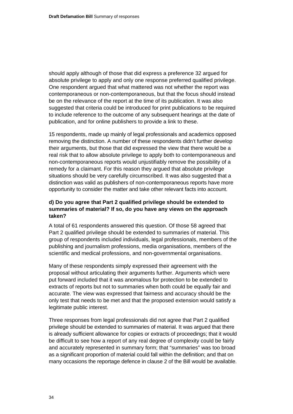should apply although of those that did express a preference 32 argued for absolute privilege to apply and only one response preferred qualified privilege. One respondent argued that what mattered was not whether the report was contemporaneous or non-contemporaneous, but that the focus should instead be on the relevance of the report at the time of its publication. It was also suggested that criteria could be introduced for print publications to be required to include reference to the outcome of any subsequent hearings at the date of publication, and for online publishers to provide a link to these.

15 respondents, made up mainly of legal professionals and academics opposed removing the distinction. A number of these respondents didn't further develop their arguments, but those that did expressed the view that there would be a real risk that to allow absolute privilege to apply both to contemporaneous and non-contemporaneous reports would unjustifiably remove the possibility of a remedy for a claimant. For this reason they argued that absolute privilege situations should be very carefully circumscribed. It was also suggested that a distinction was valid as publishers of non-contemporaneous reports have more opportunity to consider the matter and take other relevant facts into account.

# **d) Do you agree that Part 2 qualified privilege should be extended to summaries of material? If so, do you have any views on the approach taken?**

A total of 61 respondents answered this question. Of those 58 agreed that Part 2 qualified privilege should be extended to summaries of material. This group of respondents included individuals, legal professionals, members of the publishing and journalism professions, media organisations, members of the scientific and medical professions, and non-governmental organisations.

Many of these respondents simply expressed their agreement with the proposal without articulating their arguments further. Arguments which were put forward included that it was anomalous for protection to be extended to extracts of reports but not to summaries when both could be equally fair and accurate. The view was expressed that fairness and accuracy should be the only test that needs to be met and that the proposed extension would satisfy a legitimate public interest.

Three responses from legal professionals did not agree that Part 2 qualified privilege should be extended to summaries of material. It was argued that there is already sufficient allowance for copies or extracts of proceedings; that it would be difficult to see how a report of any real degree of complexity could be fairly and accurately represented in summary form; that "summaries" was too broad as a significant proportion of material could fall within the definition; and that on many occasions the reportage defence in clause 2 of the Bill would be available.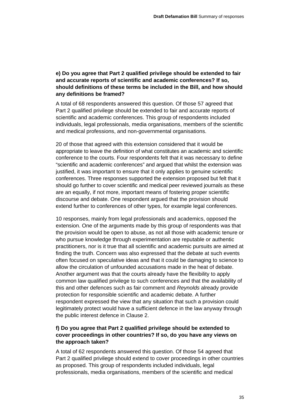## **e) Do you agree that Part 2 qualified privilege should be extended to fair and accurate reports of scientific and academic conferences? If so, should definitions of these terms be included in the Bill, and how should any definitions be framed?**

A total of 68 respondents answered this question. Of those 57 agreed that Part 2 qualified privilege should be extended to fair and accurate reports of scientific and academic conferences. This group of respondents included individuals, legal professionals, media organisations, members of the scientific and medical professions, and non-governmental organisations.

20 of those that agreed with this extension considered that it would be appropriate to leave the definition of what constitutes an academic and scientific conference to the courts. Four respondents felt that it was necessary to define "scientific and academic conferences" and argued that whilst the extension was justified, it was important to ensure that it only applies to genuine scientific conferences. Three responses supported the extension proposed but felt that it should go further to cover scientific and medical peer reviewed journals as these are an equally, if not more, important means of fostering proper scientific discourse and debate. One respondent argued that the provision should extend further to conferences of other types, for example legal conferences.

10 responses, mainly from legal professionals and academics, opposed the extension. One of the arguments made by this group of respondents was that the provision would be open to abuse, as not all those with academic tenure or who pursue knowledge through experimentation are reputable or authentic practitioners, nor is it true that all scientific and academic pursuits are aimed at finding the truth. Concern was also expressed that the debate at such events often focused on speculative ideas and that it could be damaging to science to allow the circulation of unfounded accusations made in the heat of debate. Another argument was that the courts already have the flexibility to apply common law qualified privilege to such conferences and that the availability of this and other defences such as fair comment and *Reynolds* already provide protection for responsible scientific and academic debate. A further respondent expressed the view that any situation that such a provision could legitimately protect would have a sufficient defence in the law anyway through the public interest defence in Clause 2.

#### **f) Do you agree that Part 2 qualified privilege should be extended to cover proceedings in other countries? If so, do you have any views on the approach taken?**

A total of 62 respondents answered this question. Of those 54 agreed that Part 2 qualified privilege should extend to cover proceedings in other countries as proposed. This group of respondents included individuals, legal professionals, media organisations, members of the scientific and medical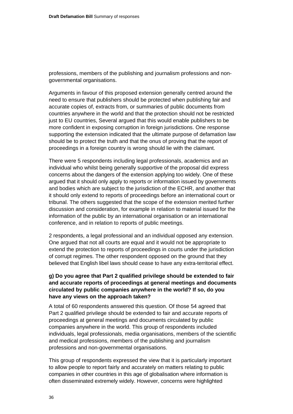professions, members of the publishing and journalism professions and nongovernmental organisations.

Arguments in favour of this proposed extension generally centred around the need to ensure that publishers should be protected when publishing fair and accurate copies of, extracts from, or summaries of public documents from countries anywhere in the world and that the protection should not be restricted just to EU countries, Several argued that this would enable publishers to be more confident in exposing corruption in foreign jurisdictions. One response supporting the extension indicated that the ultimate purpose of defamation law should be to protect the truth and that the onus of proving that the report of proceedings in a foreign country is wrong should lie with the claimant.

There were 5 respondents including legal professionals, academics and an individual who whilst being generally supportive of the proposal did express concerns about the dangers of the extension applying too widely. One of these argued that it should only apply to reports or information issued by governments and bodies which are subject to the jurisdiction of the ECHR, and another that it should only extend to reports of proceedings before an international court or tribunal. The others suggested that the scope of the extension merited further discussion and consideration, for example in relation to material issued for the information of the public by an international organisation or an international conference, and in relation to reports of public meetings.

2 respondents, a legal professional and an individual opposed any extension. One argued that not all courts are equal and it would not be appropriate to extend the protection to reports of proceedings in courts under the jurisdiction of corrupt regimes. The other respondent opposed on the ground that they believed that English libel laws should cease to have any extra-territorial effect.

## **g) Do you agree that Part 2 qualified privilege should be extended to fair and accurate reports of proceedings at general meetings and documents circulated by public companies anywhere in the world? If so, do you have any views on the approach taken?**

A total of 60 respondents answered this question. Of those 54 agreed that Part 2 qualified privilege should be extended to fair and accurate reports of proceedings at general meetings and documents circulated by public companies anywhere in the world. This group of respondents included individuals, legal professionals, media organisations, members of the scientific and medical professions, members of the publishing and journalism professions and non-governmental organisations.

This group of respondents expressed the view that it is particularly important to allow people to report fairly and accurately on matters relating to public companies in other countries in this age of globalisation where information is often disseminated extremely widely. However, concerns were highlighted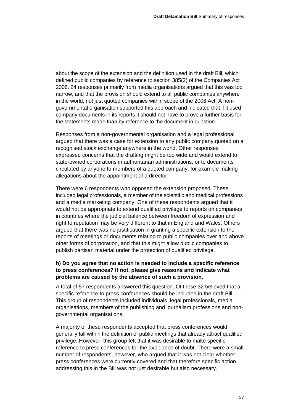about the scope of the extension and the definition used in the draft Bill, which defined public companies by reference to section 385(2) of the Companies Act 2006. 24 responses primarily from media organisations argued that this was too narrow, and that the provision should extend to all public companies anywhere in the world, not just quoted companies within scope of the 2006 Act. A nongovernmental organisation supported this approach and indicated that if it used company documents in its reports it should not have to prove a further basis for the statements made than by reference to the document in question.

Responses from a non-governmental organisation and a legal professional argued that there was a case for extension to any public company quoted on a recognised stock exchange anywhere in the world. Other responses expressed concerns that the drafting might be too wide and would extend to state-owned corporations in authoritarian administrations, or to documents circulated by anyone to members of a quoted company, for example making allegations about the appointment of a director.

There were 6 respondents who opposed the extension proposed. These included legal professionals, a member of the scientific and medical professions and a media marketing company. One of these respondents argued that it would not be appropriate to extend qualified privilege to reports on companies in countries where the judicial balance between freedom of expression and right to reputation may be very different to that in England and Wales. Others argued that there was no justification in granting a specific extension to the reports of meetings or documents relating to public companies over and above other forms of corporation, and that this might allow public companies to publish partisan material under the protection of qualified privilege.

#### **h) Do you agree that no action is needed to include a specific reference to press conferences? If not, please give reasons and indicate what problems are caused by the absence of such a provision.**

A total of 57 respondents answered this question. Of those 32 believed that a specific reference to press conferences should be included in the draft Bill. This group of respondents included individuals, legal professionals, media organisations, members of the publishing and journalism professions and nongovernmental organisations.

A majority of these respondents accepted that press conferences would generally fall within the definition of public meetings that already attract qualified privilege. However, this group felt that it was desirable to make specific reference to press conferences for the avoidance of doubt. There were a small number of respondents, however, who argued that it was not clear whether press conferences were currently covered and that therefore specific action addressing this in the Bill was not just desirable but also necessary.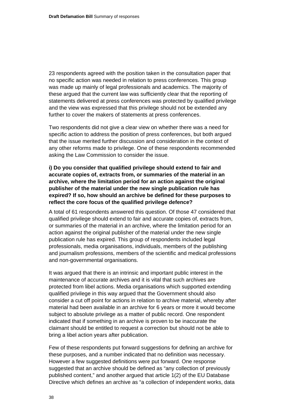23 respondents agreed with the position taken in the consultation paper that no specific action was needed in relation to press conferences. This group was made up mainly of legal professionals and academics. The majority of these argued that the current law was sufficiently clear that the reporting of statements delivered at press conferences was protected by qualified privilege and the view was expressed that this privilege should not be extended any further to cover the makers of statements at press conferences.

Two respondents did not give a clear view on whether there was a need for specific action to address the position of press conferences, but both argued that the issue merited further discussion and consideration in the context of any other reforms made to privilege. One of these respondents recommended asking the Law Commission to consider the issue.

### **i) Do you consider that qualified privilege should extend to fair and accurate copies of, extracts from, or summaries of the material in an archive, where the limitation period for an action against the original publisher of the material under the new single publication rule has expired? If so, how should an archive be defined for these purposes to reflect the core focus of the qualified privilege defence?**

A total of 61 respondents answered this question. Of those 47 considered that qualified privilege should extend to fair and accurate copies of, extracts from, or summaries of the material in an archive, where the limitation period for an action against the original publisher of the material under the new single publication rule has expired. This group of respondents included legal professionals, media organisations, individuals, members of the publishing and journalism professions, members of the scientific and medical professions and non-governmental organisations.

It was argued that there is an intrinsic and important public interest in the maintenance of accurate archives and it is vital that such archives are protected from libel actions. Media organisations which supported extending qualified privilege in this way argued that the Government should also consider a cut off point for actions in relation to archive material, whereby after material had been available in an archive for 6 years or more it would become subject to absolute privilege as a matter of public record. One respondent indicated that if something in an archive is proven to be inaccurate the claimant should be entitled to request a correction but should not be able to bring a libel action years after publication.

Few of these respondents put forward suggestions for defining an archive for these purposes, and a number indicated that no definition was necessary. However a few suggested definitions were put forward. One response suggested that an archive should be defined as "any collection of previously published content," and another argued that article 1(2) of the EU Database Directive which defines an archive as "a collection of independent works, data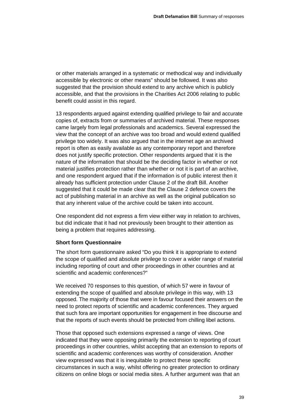or other materials arranged in a systematic or methodical way and individually accessible by electronic or other means" should be followed. It was also suggested that the provision should extend to any archive which is publicly accessible, and that the provisions in the Charities Act 2006 relating to public benefit could assist in this regard.

13 respondents argued against extending qualified privilege to fair and accurate copies of, extracts from or summaries of archived material. These responses came largely from legal professionals and academics. Several expressed the view that the concept of an archive was too broad and would extend qualified privilege too widely. It was also argued that in the internet age an archived report is often as easily available as any contemporary report and therefore does not justify specific protection. Other respondents argued that it is the nature of the information that should be the deciding factor in whether or not material justifies protection rather than whether or not it is part of an archive, and one respondent argued that if the information is of public interest then it already has sufficient protection under Clause 2 of the draft Bill. Another suggested that it could be made clear that the Clause 2 defence covers the act of publishing material in an archive as well as the original publication so that any inherent value of the archive could be taken into account.

One respondent did not express a firm view either way in relation to archives, but did indicate that it had not previously been brought to their attention as being a problem that requires addressing.

#### **Short form Questionnaire**

The short form questionnaire asked "Do you think it is appropriate to extend the scope of qualified and absolute privilege to cover a wider range of material including reporting of court and other proceedings in other countries and at scientific and academic conferences?"

We received 70 responses to this question, of which 57 were in favour of extending the scope of qualified and absolute privilege in this way, with 13 opposed. The majority of those that were in favour focused their answers on the need to protect reports of scientific and academic conferences. They argued that such fora are important opportunities for engagement in free discourse and that the reports of such events should be protected from chilling libel actions.

Those that opposed such extensions expressed a range of views. One indicated that they were opposing primarily the extension to reporting of court proceedings in other countries, whilst accepting that an extension to reports of scientific and academic conferences was worthy of consideration. Another view expressed was that it is inequitable to protect these specific circumstances in such a way, whilst offering no greater protection to ordinary citizens on online blogs or social media sites. A further argument was that an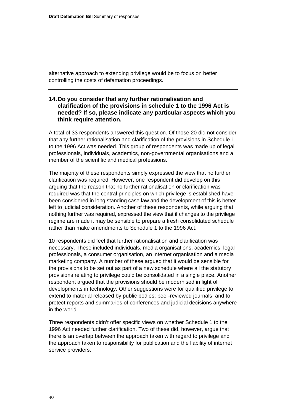alternative approach to extending privilege would be to focus on better controlling the costs of defamation proceedings.

## **14. Do you consider that any further rationalisation and clarification of the provisions in schedule 1 to the 1996 Act is needed? If so, please indicate any particular aspects which you think require attention.**

A total of 33 respondents answered this question. Of those 20 did not consider that any further rationalisation and clarification of the provisions in Schedule 1 to the 1996 Act was needed. This group of respondents was made up of legal professionals, individuals, academics, non-governmental organisations and a member of the scientific and medical professions.

The majority of these respondents simply expressed the view that no further clarification was required. However, one respondent did develop on this arguing that the reason that no further rationalisation or clarification was required was that the central principles on which privilege is established have been considered in long standing case law and the development of this is better left to judicial consideration. Another of these respondents, while arguing that nothing further was required, expressed the view that if changes to the privilege regime are made it may be sensible to prepare a fresh consolidated schedule rather than make amendments to Schedule 1 to the 1996 Act.

10 respondents did feel that further rationalisation and clarification was necessary. These included individuals, media organisations, academics, legal professionals, a consumer organisation, an internet organisation and a media marketing company. A number of these argued that it would be sensible for the provisions to be set out as part of a new schedule where all the statutory provisions relating to privilege could be consolidated in a single place. Another respondent argued that the provisions should be modernised in light of developments in technology. Other suggestions were for qualified privilege to extend to material released by public bodies; peer-reviewed journals; and to protect reports and summaries of conferences and judicial decisions anywhere in the world.

Three respondents didn't offer specific views on whether Schedule 1 to the 1996 Act needed further clarification. Two of these did, however, argue that there is an overlap between the approach taken with regard to privilege and the approach taken to responsibility for publication and the liability of internet service providers.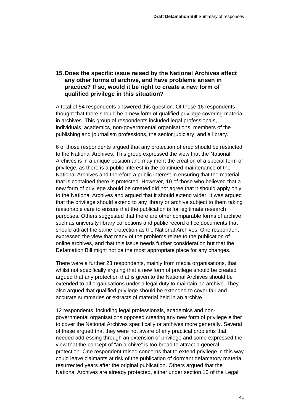## **15. Does the specific issue raised by the National Archives affect any other forms of archive, and have problems arisen in practice? If so, would it be right to create a new form of qualified privilege in this situation?**

A total of 54 respondents answered this question. Of those 16 respondents thought that there should be a new form of qualified privilege covering material in archives. This group of respondents included legal professionals, individuals, academics, non-governmental organisations, members of the publishing and journalism professions, the senior judiciary, and a library.

6 of those respondents argued that any protection offered should be restricted to the National Archives. This group expressed the view that the National Archives is in a unique position and may merit the creation of a special form of privilege, as there is a public interest in the continued maintenance of the National Archives and therefore a public interest in ensuring that the material that is contained there is protected. However, 10 of those who believed that a new form of privilege should be created did not agree that it should apply only to the National Archives and argued that it should extend wider. It was argued that the privilege should extend to any library or archive subject to them taking reasonable care to ensure that the publication is for legitimate research purposes. Others suggested that there are other comparable forms of archive such as university library collections and public record office documents that should attract the same protection as the National Archives. One respondent expressed the view that many of the problems relate to the publication of online archives, and that this issue needs further consideration but that the Defamation Bill might not be the most appropriate place for any changes.

There were a further 23 respondents, mainly from media organisations, that whilst not specifically arguing that a new form of privilege should be created argued that any protection that is given to the National Archives should be extended to all organisations under a legal duty to maintain an archive. They also argued that qualified privilege should be extended to cover fair and accurate summaries or extracts of material held in an archive.

12 respondents, including legal professionals, academics and nongovernmental organisations opposed creating any new form of privilege either to cover the National Archives specifically or archives more generally. Several of these argued that they were not aware of any practical problems that needed addressing through an extension of privilege and some expressed the view that the concept of "an archive" is too broad to attract a general protection. One respondent raised concerns that to extend privilege in this way could leave claimants at risk of the publication of dormant defamatory material resurrected years after the original publication. Others argued that the National Archives are already protected, either under section 10 of the Legal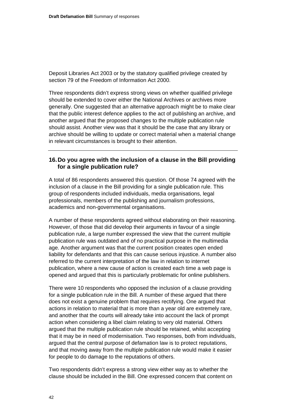Deposit Libraries Act 2003 or by the statutory qualified privilege created by section 79 of the Freedom of Information Act 2000.

Three respondents didn't express strong views on whether qualified privilege should be extended to cover either the National Archives or archives more generally. One suggested that an alternative approach might be to make clear that the public interest defence applies to the act of publishing an archive, and another argued that the proposed changes to the multiple publication rule should assist. Another view was that it should be the case that any library or archive should be willing to update or correct material when a material change in relevant circumstances is brought to their attention.

#### **16. Do you agree with the inclusion of a clause in the Bill providing for a single publication rule?**

A total of 86 respondents answered this question. Of those 74 agreed with the inclusion of a clause in the Bill providing for a single publication rule. This group of respondents included individuals, media organisations, legal professionals, members of the publishing and journalism professions, academics and non-governmental organisations.

A number of these respondents agreed without elaborating on their reasoning. However, of those that did develop their arguments in favour of a single publication rule, a large number expressed the view that the current multiple publication rule was outdated and of no practical purpose in the multimedia age. Another argument was that the current position creates open ended liability for defendants and that this can cause serious injustice. A number also referred to the current interpretation of the law in relation to internet publication, where a new cause of action is created each time a web page is opened and argued that this is particularly problematic for online publishers.

There were 10 respondents who opposed the inclusion of a clause providing for a single publication rule in the Bill. A number of these argued that there does not exist a genuine problem that requires rectifying. One argued that actions in relation to material that is more than a year old are extremely rare, and another that the courts will already take into account the lack of prompt action when considering a libel claim relating to very old material. Others argued that the multiple publication rule should be retained, whilst accepting that it may be in need of modernisation. Two responses, both from individuals, argued that the central purpose of defamation law is to protect reputations, and that moving away from the multiple publication rule would make it easier for people to do damage to the reputations of others.

Two respondents didn't express a strong view either way as to whether the clause should be included in the Bill. One expressed concern that content on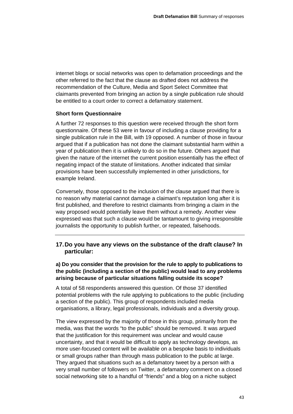internet blogs or social networks was open to defamation proceedings and the other referred to the fact that the clause as drafted does not address the recommendation of the Culture, Media and Sport Select Committee that claimants prevented from bringing an action by a single publication rule should be entitled to a court order to correct a defamatory statement.

#### **Short form Questionnaire**

A further 72 responses to this question were received through the short form questionnaire. Of these 53 were in favour of including a clause providing for a single publication rule in the Bill, with 19 opposed. A number of those in favour argued that if a publication has not done the claimant substantial harm within a year of publication then it is unlikely to do so in the future. Others argued that given the nature of the internet the current position essentially has the effect of negating impact of the statute of limitations. Another indicated that similar provisions have been successfully implemented in other jurisdictions, for example Ireland.

Conversely, those opposed to the inclusion of the clause argued that there is no reason why material cannot damage a claimant's reputation long after it is first published, and therefore to restrict claimants from bringing a claim in the way proposed would potentially leave them without a remedy. Another view expressed was that such a clause would be tantamount to giving irresponsible journalists the opportunity to publish further, or repeated, falsehoods.

## **17. Do you have any views on the substance of the draft clause? In particular:**

#### **a) Do you consider that the provision for the rule to apply to publications to the public (including a section of the public) would lead to any problems arising because of particular situations falling outside its scope?**

A total of 58 respondents answered this question. Of those 37 identified potential problems with the rule applying to publications to the public (including a section of the public). This group of respondents included media organisations, a library, legal professionals, individuals and a diversity group.

The view expressed by the majority of those in this group, primarily from the media, was that the words "to the public" should be removed. It was argued that the justification for this requirement was unclear and would cause uncertainty, and that it would be difficult to apply as technology develops, as more user-focused content will be available on a bespoke basis to individuals or small groups rather than through mass publication to the public at large. They argued that situations such as a defamatory tweet by a person with a very small number of followers on Twitter, a defamatory comment on a closed social networking site to a handful of "friends" and a blog on a niche subject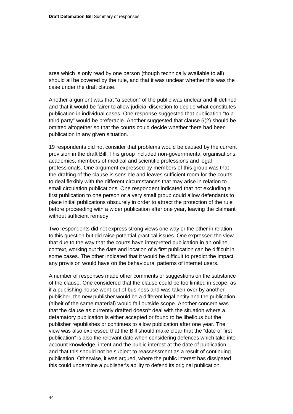area which is only read by one person (though technically available to all) should all be covered by the rule, and that it was unclear whether this was the case under the draft clause.

Another argument was that "a section" of the public was unclear and ill defined and that it would be fairer to allow judicial discretion to decide what constitutes publication in individual cases. One response suggested that publication "to a third party" would be preferable. Another suggested that clause 6(2) should be omitted altogether so that the courts could decide whether there had been publication in any given situation.

19 respondents did not consider that problems would be caused by the current provision in the draft Bill. This group included non-governmental organisations, academics, members of medical and scientific professions and legal professionals. One argument expressed by members of this group was that the drafting of the clause is sensible and leaves sufficient room for the courts to deal flexibly with the different circumstances that may arise in relation to small circulation publications. One respondent indicated that not excluding a first publication to one person or a very small group could allow defendants to place initial publications obscurely in order to attract the protection of the rule before proceeding with a wider publication after one year, leaving the claimant without sufficient remedy.

Two respondents did not express strong views one way or the other in relation to this question but did raise potential practical issues. One expressed the view that due to the way that the courts have interpreted publication in an online context, working out the date and location of a first publication can be difficult in some cases. The other indicated that it would be difficult to predict the impact any provision would have on the behavioural patterns of internet users.

A number of responses made other comments or suggestions on the substance of the clause. One considered that the clause could be too limited in scope, as if a publishing house went out of business and was taken over by another publisher, the new publisher would be a different legal entity and the publication (albeit of the same material) would fall outside scope. Another concern was that the clause as currently drafted doesn't deal with the situation where a defamatory publication is either accepted or found to be libellous but the publisher republishes or continues to allow publication after one year. The view was also expressed that the Bill should make clear that the "date of first publication" is also the relevant date when considering defences which take into account knowledge, intent and the public interest at the date of publication, and that this should not be subject to reassessment as a result of continuing publication. Otherwise, it was argued, where the public interest has dissipated this could undermine a publisher's ability to defend its original publication.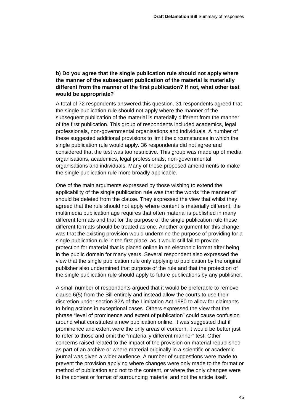### **b) Do you agree that the single publication rule should not apply where the manner of the subsequent publication of the material is materially different from the manner of the first publication? If not, what other test would be appropriate?**

A total of 72 respondents answered this question. 31 respondents agreed that the single publication rule should not apply where the manner of the subsequent publication of the material is materially different from the manner of the first publication. This group of respondents included academics, legal professionals, non-governmental organisations and individuals. A number of these suggested additional provisions to limit the circumstances in which the single publication rule would apply. 36 respondents did not agree and considered that the test was too restrictive. This group was made up of media organisations, academics, legal professionals, non-governmental organisations and individuals. Many of these proposed amendments to make the single publication rule more broadly applicable.

One of the main arguments expressed by those wishing to extend the applicability of the single publication rule was that the words "the manner of" should be deleted from the clause. They expressed the view that whilst they agreed that the rule should not apply where content is materially different, the multimedia publication age requires that often material is published in many different formats and that for the purpose of the single publication rule these different formats should be treated as one. Another argument for this change was that the existing provision would undermine the purpose of providing for a single publication rule in the first place, as it would still fail to provide protection for material that is placed online in an electronic format after being in the public domain for many years. Several respondent also expressed the view that the single publication rule only applying to publication by the original publisher also undermined that purpose of the rule and that the protection of the single publication rule should apply to future publications by any publisher.

A small number of respondents argued that it would be preferable to remove clause 6(5) from the Bill entirely and instead allow the courts to use their discretion under section 32A of the Limitation Act 1980 to allow for claimants to bring actions in exceptional cases. Others expressed the view that the phrase "level of prominence and extent of publication" could cause confusion around what constitutes a new publication online. It was suggested that if prominence and extent were the only areas of concern, it would be better just to refer to those and omit the "materially different manner" test. Other concerns raised related to the impact of the provision on material republished as part of an archive or where material originally in a scientific or academic journal was given a wider audience. A number of suggestions were made to prevent the provision applying where changes were only made to the format or method of publication and not to the content, or where the only changes were to the content or format of surrounding material and not the article itself.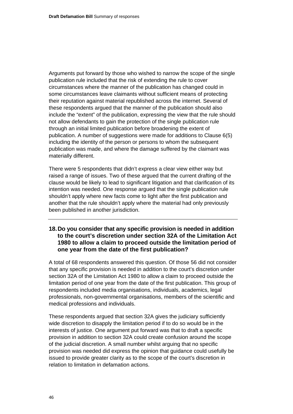Arguments put forward by those who wished to narrow the scope of the single publication rule included that the risk of extending the rule to cover circumstances where the manner of the publication has changed could in some circumstances leave claimants without sufficient means of protecting their reputation against material republished across the internet. Several of these respondents argued that the manner of the publication should also include the "extent" of the publication, expressing the view that the rule should not allow defendants to gain the protection of the single publication rule through an initial limited publication before broadening the extent of publication. A number of suggestions were made for additions to Clause 6(5) including the identity of the person or persons to whom the subsequent publication was made, and where the damage suffered by the claimant was materially different.

There were 5 respondents that didn't express a clear view either way but raised a range of issues. Two of these argued that the current drafting of the clause would be likely to lead to significant litigation and that clarification of its intention was needed. One response argued that the single publication rule shouldn't apply where new facts come to light after the first publication and another that the rule shouldn't apply where the material had only previously been published in another jurisdiction.

# **18. Do you consider that any specific provision is needed in addition to the court's discretion under section 32A of the Limitation Act 1980 to allow a claim to proceed outside the limitation period of one year from the date of the first publication?**

A total of 68 respondents answered this question. Of those 56 did not consider that any specific provision is needed in addition to the court's discretion under section 32A of the Limitation Act 1980 to allow a claim to proceed outside the limitation period of one year from the date of the first publication. This group of respondents included media organisations, individuals, academics, legal professionals, non-governmental organisations, members of the scientific and medical professions and individuals.

These respondents argued that section 32A gives the judiciary sufficiently wide discretion to disapply the limitation period if to do so would be in the interests of justice. One argument put forward was that to draft a specific provision in addition to section 32A could create confusion around the scope of the judicial discretion. A small number whilst arguing that no specific provision was needed did express the opinion that guidance could usefully be issued to provide greater clarity as to the scope of the court's discretion in relation to limitation in defamation actions.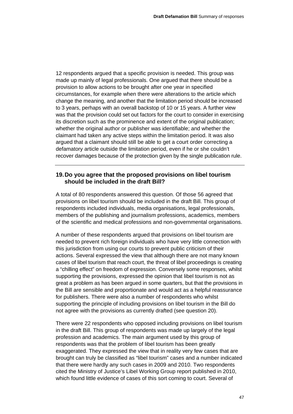12 respondents argued that a specific provision is needed. This group was made up mainly of legal professionals. One argued that there should be a provision to allow actions to be brought after one year in specified circumstances, for example when there were alterations to the article which change the meaning, and another that the limitation period should be increased to 3 years, perhaps with an overall backstop of 10 or 15 years. A further view was that the provision could set out factors for the court to consider in exercising its discretion such as the prominence and extent of the original publication; whether the original author or publisher was identifiable; and whether the claimant had taken any active steps within the limitation period. It was also argued that a claimant should still be able to get a court order correcting a defamatory article outside the limitation period, even if he or she couldn't recover damages because of the protection given by the single publication rule.

# **19. Do you agree that the proposed provisions on libel tourism should be included in the draft Bill?**

A total of 80 respondents answered this question. Of those 56 agreed that provisions on libel tourism should be included in the draft Bill. This group of respondents included individuals, media organisations, legal professionals, members of the publishing and journalism professions, academics, members of the scientific and medical professions and non-governmental organisations.

A number of these respondents argued that provisions on libel tourism are needed to prevent rich foreign individuals who have very little connection with this jurisdiction from using our courts to prevent public criticism of their actions. Several expressed the view that although there are not many known cases of libel tourism that reach court, the threat of libel proceedings is creating a "chilling effect" on freedom of expression. Conversely some responses, whilst supporting the provisions, expressed the opinion that libel tourism is not as great a problem as has been argued in some quarters, but that the provisions in the Bill are sensible and proportionate and would act as a helpful reassurance for publishers. There were also a number of respondents who whilst supporting the principle of including provisions on libel tourism in the Bill do not agree with the provisions as currently drafted (see question 20).

There were 22 respondents who opposed including provisions on libel tourism in the draft Bill. This group of respondents was made up largely of the legal profession and academics. The main argument used by this group of respondents was that the problem of libel tourism has been greatly exaggerated. They expressed the view that in reality very few cases that are brought can truly be classified as "libel tourism" cases and a number indicated that there were hardly any such cases in 2009 and 2010. Two respondents cited the Ministry of Justice's Libel Working Group report published in 2010, which found little evidence of cases of this sort coming to court. Several of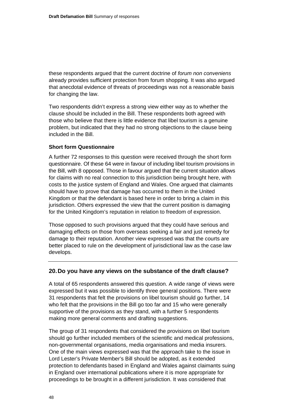these respondents argued that the current doctrine of *forum non conveniens* already provides sufficient protection from forum shopping. It was also argued that anecdotal evidence of threats of proceedings was not a reasonable basis for changing the law.

Two respondents didn't express a strong view either way as to whether the clause should be included in the Bill. These respondents both agreed with those who believe that there is little evidence that libel tourism is a genuine problem, but indicated that they had no strong objections to the clause being included in the Bill.

#### **Short form Questionnaire**

A further 72 responses to this question were received through the short form questionnaire. Of these 64 were in favour of including libel tourism provisions in the Bill, with 8 opposed. Those in favour argued that the current situation allows for claims with no real connection to this jurisdiction being brought here, with costs to the justice system of England and Wales. One argued that claimants should have to prove that damage has occurred to them in the United Kingdom or that the defendant is based here in order to bring a claim in this jurisdiction. Others expressed the view that the current position is damaging for the United Kingdom's reputation in relation to freedom of expression.

Those opposed to such provisions argued that they could have serious and damaging effects on those from overseas seeking a fair and just remedy for damage to their reputation. Another view expressed was that the courts are better placed to rule on the development of jurisdictional law as the case law develops.

#### **20. Do you have any views on the substance of the draft clause?**

A total of 65 respondents answered this question. A wide range of views were expressed but it was possible to identify three general positions. There were 31 respondents that felt the provisions on libel tourism should go further, 14 who felt that the provisions in the Bill go too far and 15 who were generally supportive of the provisions as they stand, with a further 5 respondents making more general comments and drafting suggestions.

The group of 31 respondents that considered the provisions on libel tourism should go further included members of the scientific and medical professions, non-governmental organisations, media organisations and media insurers. One of the main views expressed was that the approach take to the issue in Lord Lester's Private Member's Bill should be adopted, as it extended protection to defendants based in England and Wales against claimants suing in England over international publications where it is more appropriate for proceedings to be brought in a different jurisdiction. It was considered that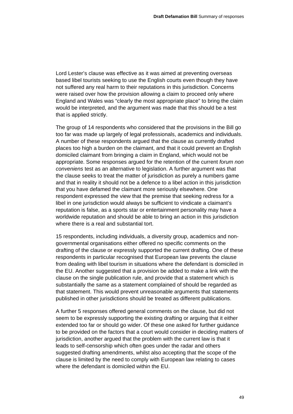Lord Lester's clause was effective as it was aimed at preventing overseas based libel tourists seeking to use the English courts even though they have not suffered any real harm to their reputations in this jurisdiction. Concerns were raised over how the provision allowing a claim to proceed only where England and Wales was "clearly the most appropriate place" to bring the claim would be interpreted, and the argument was made that this should be a test that is applied strictly.

The group of 14 respondents who considered that the provisions in the Bill go too far was made up largely of legal professionals, academics and individuals. A number of these respondents argued that the clause as currently drafted places too high a burden on the claimant, and that it could prevent an English domiciled claimant from bringing a claim in England, which would not be appropriate. Some responses argued for the retention of the current *forum non conveniens* test as an alternative to legislation. A further argument was that the clause seeks to treat the matter of jurisdiction as purely a numbers game and that in reality it should not be a defence to a libel action in this jurisdiction that you have defamed the claimant more seriously elsewhere. One respondent expressed the view that the premise that seeking redress for a libel in one jurisdiction would always be sufficient to vindicate a claimant's reputation is false, as a sports star or entertainment personality may have a worldwide reputation and should be able to bring an action in this jurisdiction where there is a real and substantial tort.

15 respondents, including individuals, a diversity group, academics and nongovernmental organisations either offered no specific comments on the drafting of the clause or expressly supported the current drafting. One of these respondents in particular recognised that European law prevents the clause from dealing with libel tourism in situations where the defendant is domiciled in the EU. Another suggested that a provision be added to make a link with the clause on the single publication rule, and provide that a statement which is substantially the same as a statement complained of should be regarded as that statement. This would prevent unreasonable arguments that statements published in other jurisdictions should be treated as different publications.

A further 5 responses offered general comments on the clause, but did not seem to be expressly supporting the existing drafting or arguing that it either extended too far or should go wider. Of these one asked for further guidance to be provided on the factors that a court would consider in deciding matters of jurisdiction, another argued that the problem with the current law is that it leads to self-censorship which often goes under the radar and others suggested drafting amendments, whilst also accepting that the scope of the clause is limited by the need to comply with European law relating to cases where the defendant is domiciled within the EU.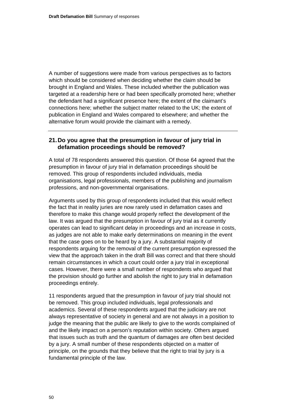A number of suggestions were made from various perspectives as to factors which should be considered when deciding whether the claim should be brought in England and Wales. These included whether the publication was targeted at a readership here or had been specifically promoted here; whether the defendant had a significant presence here; the extent of the claimant's connections here; whether the subject matter related to the UK; the extent of publication in England and Wales compared to elsewhere; and whether the alternative forum would provide the claimant with a remedy.

## **21. Do you agree that the presumption in favour of jury trial in defamation proceedings should be removed?**

A total of 78 respondents answered this question. Of those 64 agreed that the presumption in favour of jury trial in defamation proceedings should be removed. This group of respondents included individuals, media organisations, legal professionals, members of the publishing and journalism professions, and non-governmental organisations.

Arguments used by this group of respondents included that this would reflect the fact that in reality juries are now rarely used in defamation cases and therefore to make this change would properly reflect the development of the law. It was argued that the presumption in favour of jury trial as it currently operates can lead to significant delay in proceedings and an increase in costs, as judges are not able to make early determinations on meaning in the event that the case goes on to be heard by a jury. A substantial majority of respondents arguing for the removal of the current presumption expressed the view that the approach taken in the draft Bill was correct and that there should remain circumstances in which a court could order a jury trial in exceptional cases. However, there were a small number of respondents who argued that the provision should go further and abolish the right to jury trial in defamation proceedings entirely.

11 respondents argued that the presumption in favour of jury trial should not be removed. This group included individuals, legal professionals and academics. Several of these respondents argued that the judiciary are not always representative of society in general and are not always in a position to judge the meaning that the public are likely to give to the words complained of and the likely impact on a person's reputation within society. Others argued that issues such as truth and the quantum of damages are often best decided by a jury. A small number of these respondents objected on a matter of principle, on the grounds that they believe that the right to trial by jury is a fundamental principle of the law.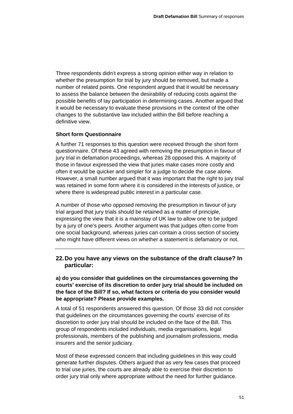Three respondents didn't express a strong opinion either way in relation to whether the presumption for trial by jury should be removed, but made a number of related points. One respondent argued that it would be necessary to assess the balance between the desirability of reducing costs against the possible benefits of lay participation in determining cases. Another argued that it would be necessary to evaluate these provisions in the context of the other changes to the substantive law included within the Bill before reaching a definitive view.

#### **Short form Questionnaire**

A further 71 responses to this question were received through the short form questionnaire. Of these 43 agreed with removing the presumption in favour of jury trial in defamation proceedings, whereas 28 opposed this. A majority of those in favour expressed the view that juries make cases more costly and often it would be quicker and simpler for a judge to decide the case alone. However, a small number argued that it was important that the right to jury trial was retained in some form where it is considered in the interests of justice, or where there is widespread public interest in a particular case.

A number of those who opposed removing the presumption in favour of jury trial argued that jury trials should be retained as a matter of principle, expressing the view that it is a mainstay of UK law to allow one to be judged by a jury of one's peers. Another argument was that judges often come from one social background, whereas juries can contain a cross section of society who might have different views on whether a statement is defamatory or not.

## **22. Do you have any views on the substance of the draft clause? In particular:**

**a) do you consider that guidelines on the circumstances governing the courts' exercise of its discretion to order jury trial should be included on the face of the Bill? If so, what factors or criteria do you consider would be appropriate? Please provide examples.** 

A total of 51 respondents answered this question. Of those 33 did not consider that guidelines on the circumstances governing the courts' exercise of its discretion to order jury trial should be included on the face of the Bill. This group of respondents included individuals, media organisations, legal professionals, members of the publishing and journalism professions, media insurers and the senior judiciary.

Most of these expressed concern that including guidelines in this way could generate further disputes. Others argued that as very few cases that proceed to trial use juries, the courts are already able to exercise their discretion to order jury trial only where appropriate without the need for further guidance.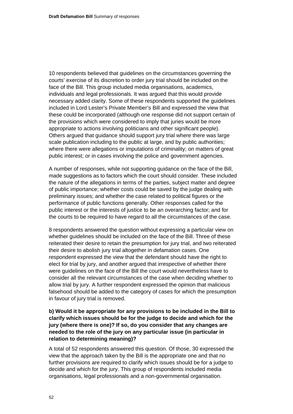10 respondents believed that guidelines on the circumstances governing the courts' exercise of its discretion to order jury trial should be included on the face of the Bill. This group included media organisations, academics, individuals and legal professionals. It was argued that this would provide necessary added clarity. Some of these respondents supported the guidelines included in Lord Lester's Private Member's Bill and expressed the view that these could be incorporated (although one response did not support certain of the provisions which were considered to imply that juries would be more appropriate to actions involving politicians and other significant people). Others argued that guidance should support jury trial where there was large scale publication including to the public at large, and by public authorities; where there were allegations or imputations of criminality; on matters of great public interest; or in cases involving the police and government agencies.

A number of responses, while not supporting guidance on the face of the Bill, made suggestions as to factors which the court should consider. These included the nature of the allegations in terms of the parties, subject matter and degree of public importance; whether costs could be saved by the judge dealing with preliminary issues; and whether the case related to political figures or the performance of public functions generally. Other responses called for the public interest or the interests of justice to be an overarching factor; and for the courts to be required to have regard to all the circumstances of the case.

8 respondents answered the question without expressing a particular view on whether guidelines should be included on the face of the Bill. Three of these reiterated their desire to retain the presumption for jury trial, and two reiterated their desire to abolish jury trial altogether in defamation cases. One respondent expressed the view that the defendant should have the right to elect for trial by jury, and another argued that irrespective of whether there were guidelines on the face of the Bill the court would nevertheless have to consider all the relevant circumstances of the case when deciding whether to allow trial by jury. A further respondent expressed the opinion that malicious falsehood should be added to the category of cases for which the presumption in favour of jury trial is removed.

## **b) Would it be appropriate for any provisions to be included in the Bill to clarify which issues should be for the judge to decide and which for the jury (where there is one)? If so, do you consider that any changes are needed to the role of the jury on any particular issue (in particular in relation to determining meaning)?**

A total of 52 respondents answered this question. Of those, 30 expressed the view that the approach taken by the Bill is the appropriate one and that no further provisions are required to clarify which issues should be for a judge to decide and which for the jury. This group of respondents included media organisations, legal professionals and a non-governmental organisation.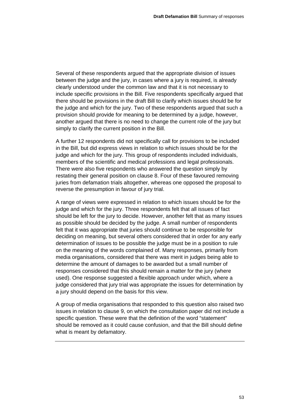Several of these respondents argued that the appropriate division of issues between the judge and the jury, in cases where a jury is required, is already clearly understood under the common law and that it is not necessary to include specific provisions in the Bill. Five respondents specifically argued that there should be provisions in the draft Bill to clarify which issues should be for the judge and which for the jury. Two of these respondents argued that such a provision should provide for meaning to be determined by a judge, however, another argued that there is no need to change the current role of the jury but simply to clarify the current position in the Bill.

A further 12 respondents did not specifically call for provisions to be included in the Bill, but did express views in relation to which issues should be for the judge and which for the jury. This group of respondents included individuals, members of the scientific and medical professions and legal professionals. There were also five respondents who answered the question simply by restating their general position on clause 8. Four of these favoured removing juries from defamation trials altogether, whereas one opposed the proposal to reverse the presumption in favour of jury trial.

A range of views were expressed in relation to which issues should be for the judge and which for the jury. Three respondents felt that all issues of fact should be left for the jury to decide. However, another felt that as many issues as possible should be decided by the judge. A small number of respondents felt that it was appropriate that juries should continue to be responsible for deciding on meaning, but several others considered that in order for any early determination of issues to be possible the judge must be in a position to rule on the meaning of the words complained of. Many responses, primarily from media organisations, considered that there was merit in judges being able to determine the amount of damages to be awarded but a small number of responses considered that this should remain a matter for the jury (where used). One response suggested a flexible approach under which, where a judge considered that jury trial was appropriate the issues for determination by a jury should depend on the basis for this view.

A group of media organisations that responded to this question also raised two issues in relation to clause 9, on which the consultation paper did not include a specific question. These were that the definition of the word "statement" should be removed as it could cause confusion, and that the Bill should define what is meant by defamatory.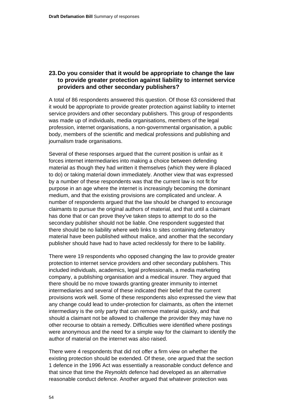## **23. Do you consider that it would be appropriate to change the law to provide greater protection against liability to internet service providers and other secondary publishers?**

A total of 86 respondents answered this question. Of those 63 considered that it would be appropriate to provide greater protection against liability to internet service providers and other secondary publishers. This group of respondents was made up of individuals, media organisations, members of the legal profession, internet organisations, a non-governmental organisation, a public body, members of the scientific and medical professions and publishing and journalism trade organisations.

Several of these responses argued that the current position is unfair as it forces internet intermediaries into making a choice between defending material as though they had written it themselves (which they were ill-placed to do) or taking material down immediately. Another view that was expressed by a number of these respondents was that the current law is not fit for purpose in an age where the internet is increasingly becoming the dominant medium, and that the existing provisions are complicated and unclear. A number of respondents argued that the law should be changed to encourage claimants to pursue the original authors of material, and that until a claimant has done that or can prove they've taken steps to attempt to do so the secondary publisher should not be liable. One respondent suggested that there should be no liability where web links to sites containing defamatory material have been published without malice, and another that the secondary publisher should have had to have acted recklessly for there to be liability.

There were 19 respondents who opposed changing the law to provide greater protection to internet service providers and other secondary publishers. This included individuals, academics, legal professionals, a media marketing company, a publishing organisation and a medical insurer. They argued that there should be no move towards granting greater immunity to internet intermediaries and several of these indicated their belief that the current provisions work well. Some of these respondents also expressed the view that any change could lead to under-protection for claimants, as often the internet intermediary is the only party that can remove material quickly, and that should a claimant not be allowed to challenge the provider they may have no other recourse to obtain a remedy. Difficulties were identified where postings were anonymous and the need for a simple way for the claimant to identify the author of material on the internet was also raised.

There were 4 respondents that did not offer a firm view on whether the existing protection should be extended. Of these, one argued that the section 1 defence in the 1996 Act was essentially a reasonable conduct defence and that since that time the *Reynolds* defence had developed as an alternative reasonable conduct defence. Another argued that whatever protection was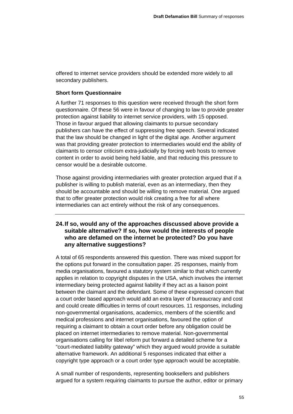offered to internet service providers should be extended more widely to all secondary publishers.

#### **Short form Questionnaire**

A further 71 responses to this question were received through the short form questionnaire. Of these 56 were in favour of changing to law to provide greater protection against liability to internet service providers, with 15 opposed. Those in favour argued that allowing claimants to pursue secondary publishers can have the effect of suppressing free speech. Several indicated that the law should be changed in light of the digital age. Another argument was that providing greater protection to intermediaries would end the ability of claimants to censor criticism extra-judicially by forcing web hosts to remove content in order to avoid being held liable, and that reducing this pressure to censor would be a desirable outcome.

Those against providing intermediaries with greater protection argued that if a publisher is willing to publish material, even as an intermediary, then they should be accountable and should be willing to remove material. One argued that to offer greater protection would risk creating a free for all where intermediaries can act entirely without the risk of any consequences.

# **24. If so, would any of the approaches discussed above provide a suitable alternative? If so, how would the interests of people who are defamed on the internet be protected? Do you have any alternative suggestions?**

A total of 65 respondents answered this question. There was mixed support for the options put forward in the consultation paper. 25 responses, mainly from media organisations, favoured a statutory system similar to that which currently applies in relation to copyright disputes in the USA, which involves the internet intermediary being protected against liability if they act as a liaison point between the claimant and the defendant. Some of these expressed concern that a court order based approach would add an extra layer of bureaucracy and cost and could create difficulties in terms of court resources. 11 responses, including non-governmental organisations, academics, members of the scientific and medical professions and internet organisations, favoured the option of requiring a claimant to obtain a court order before any obligation could be placed on internet intermediaries to remove material. Non-governmental organisations calling for libel reform put forward a detailed scheme for a "court-mediated liability gateway" which they argued would provide a suitable alternative framework. An additional 5 responses indicated that either a copyright type approach or a court order type approach would be acceptable.

A small number of respondents, representing booksellers and publishers argued for a system requiring claimants to pursue the author, editor or primary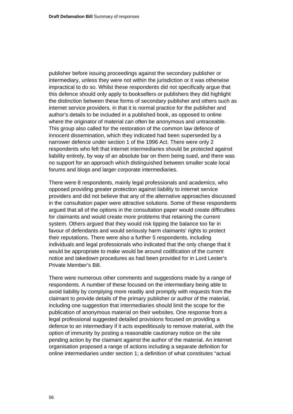publisher before issuing proceedings against the secondary publisher or intermediary, unless they were not within the jurisdiction or it was otherwise impractical to do so. Whilst these respondents did not specifically argue that this defence should only apply to booksellers or publishers they did highlight the distinction between these forms of secondary publisher and others such as internet service providers, in that it is normal practice for the publisher and author's details to be included in a published book, as opposed to online where the originator of material can often be anonymous and untraceable. This group also called for the restoration of the common law defence of innocent dissemination, which they indicated had been superseded by a narrower defence under section 1 of the 1996 Act. There were only 2 respondents who felt that internet intermediaries should be protected against liability entirely, by way of an absolute bar on them being sued, and there was no support for an approach which distinguished between smaller scale local forums and blogs and larger corporate intermediaries.

There were 8 respondents, mainly legal professionals and academics, who opposed providing greater protection against liability to internet service providers and did not believe that any of the alternative approaches discussed in the consultation paper were attractive solutions. Some of these respondents argued that all of the options in the consultation paper would create difficulties for claimants and would create more problems that retaining the current system. Others argued that they would risk tipping the balance too far in favour of defendants and would seriously harm claimants' rights to protect their reputations. There were also a further 5 respondents, including individuals and legal professionals who indicated that the only change that it would be appropriate to make would be around codification of the current notice and takedown procedures as had been provided for in Lord Lester's Private Member's Bill.

There were numerous other comments and suggestions made by a range of respondents. A number of these focused on the intermediary being able to avoid liability by complying more readily and promptly with requests from the claimant to provide details of the primary publisher or author of the material, including one suggestion that intermediaries should limit the scope for the publication of anonymous material on their websites. One response from a legal professional suggested detailed provisions focused on providing a defence to an intermediary if it acts expeditiously to remove material, with the option of immunity by posting a reasonable cautionary notice on the site pending action by the claimant against the author of the material. An internet organisation proposed a range of actions including a separate definition for online intermediaries under section 1; a definition of what constitutes "actual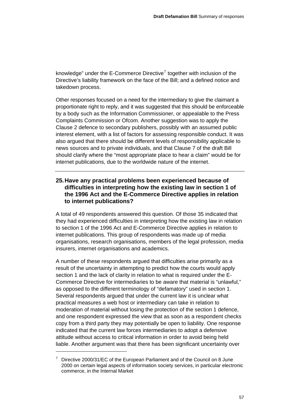knowledge" under the E-Commerce Directive<sup>[7](#page-60-0)</sup> together with inclusion of the Directive's liability framework on the face of the Bill; and a defined notice and takedown process.

Other responses focused on a need for the intermediary to give the claimant a proportionate right to reply, and it was suggested that this should be enforceable by a body such as the Information Commissioner, or appealable to the Press Complaints Commission or Ofcom. Another suggestion was to apply the Clause 2 defence to secondary publishers, possibly with an assumed public interest element, with a list of factors for assessing responsible conduct. It was also argued that there should be different levels of responsibility applicable to news sources and to private individuals, and that Clause 7 of the draft Bill should clarify where the "most appropriate place to hear a claim" would be for internet publications, due to the worldwide nature of the internet.

# **25. Have any practical problems been experienced because of difficulties in interpreting how the existing law in section 1 of the 1996 Act and the E-Commerce Directive applies in relation to internet publications?**

A total of 49 respondents answered this question. Of those 35 indicated that they had experienced difficulties in interpreting how the existing law in relation to section 1 of the 1996 Act and E-Commerce Directive applies in relation to internet publications. This group of respondents was made up of media organisations, research organisations, members of the legal profession, media insurers, internet organisations and academics.

A number of these respondents argued that difficulties arise primarily as a result of the uncertainty in attempting to predict how the courts would apply section 1 and the lack of clarity in relation to what is required under the E-Commerce Directive for intermediaries to be aware that material is "unlawful," as opposed to the different terminology of "defamatory" used in section 1. Several respondents argued that under the current law it is unclear what practical measures a web host or intermediary can take in relation to moderation of material without losing the protection of the section 1 defence, and one respondent expressed the view that as soon as a respondent checks copy from a third party they may potentially be open to liability. One response indicated that the current law forces intermediaries to adopt a defensive attitude without access to critical information in order to avoid being held liable. Another argument was that there has been significant uncertainty over

<span id="page-60-0"></span><sup>7</sup> Directive 2000/31/EC of the European Parliament and of the Council on 8 June 2000 on certain legal aspects of information society services, in particular electronic commerce, in the Internal Market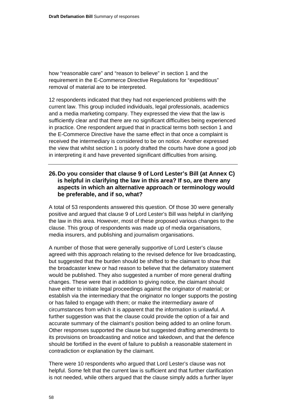how "reasonable care" and "reason to believe" in section 1 and the requirement in the E-Commerce Directive Regulations for "expeditious" removal of material are to be interpreted.

12 respondents indicated that they had not experienced problems with the current law. This group included individuals, legal professionals, academics and a media marketing company. They expressed the view that the law is sufficiently clear and that there are no significant difficulties being experienced in practice. One respondent argued that in practical terms both section 1 and the E-Commerce Directive have the same effect in that once a complaint is received the intermediary is considered to be on notice. Another expressed the view that whilst section 1 is poorly drafted the courts have done a good job in interpreting it and have prevented significant difficulties from arising.

## **26. Do you consider that clause 9 of Lord Lester's Bill (at Annex C) is helpful in clarifying the law in this area? If so, are there any aspects in which an alternative approach or terminology would be preferable, and if so, what?**

A total of 53 respondents answered this question. Of those 30 were generally positive and argued that clause 9 of Lord Lester's Bill was helpful in clarifying the law in this area. However, most of these proposed various changes to the clause. This group of respondents was made up of media organisations, media insurers, and publishing and journalism organisations.

A number of those that were generally supportive of Lord Lester's clause agreed with this approach relating to the revised defence for live broadcasting, but suggested that the burden should be shifted to the claimant to show that the broadcaster knew or had reason to believe that the defamatory statement would be published. They also suggested a number of more general drafting changes. These were that in addition to giving notice, the claimant should have either to initiate legal proceedings against the originator of material; or establish via the intermediary that the originator no longer supports the posting or has failed to engage with them; or make the intermediary aware of circumstances from which it is apparent that the information is unlawful. A further suggestion was that the clause could provide the option of a fair and accurate summary of the claimant's position being added to an online forum. Other responses supported the clause but suggested drafting amendments to its provisions on broadcasting and notice and takedown, and that the defence should be fortified in the event of failure to publish a reasonable statement in contradiction or explanation by the claimant.

There were 10 respondents who argued that Lord Lester's clause was not helpful. Some felt that the current law is sufficient and that further clarification is not needed, while others argued that the clause simply adds a further layer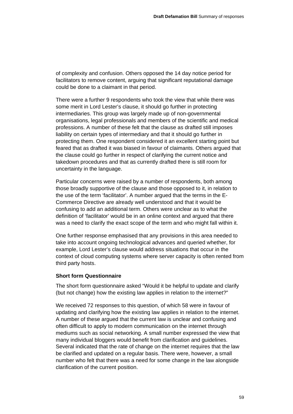of complexity and confusion. Others opposed the 14 day notice period for facilitators to remove content, arguing that significant reputational damage could be done to a claimant in that period.

There were a further 9 respondents who took the view that while there was some merit in Lord Lester's clause, it should go further in protecting intermediaries. This group was largely made up of non-governmental organisations, legal professionals and members of the scientific and medical professions. A number of these felt that the clause as drafted still imposes liability on certain types of intermediary and that it should go further in protecting them. One respondent considered it an excellent starting point but feared that as drafted it was biased in favour of claimants. Others argued that the clause could go further in respect of clarifying the current notice and takedown procedures and that as currently drafted there is still room for uncertainty in the language.

Particular concerns were raised by a number of respondents, both among those broadly supportive of the clause and those opposed to it, in relation to the use of the term 'facilitator'. A number argued that the terms in the E-Commerce Directive are already well understood and that it would be confusing to add an additional term. Others were unclear as to what the definition of 'facilitator' would be in an online context and argued that there was a need to clarify the exact scope of the term and who might fall within it.

One further response emphasised that any provisions in this area needed to take into account ongoing technological advances and queried whether, for example, Lord Lester's clause would address situations that occur in the context of cloud computing systems where server capacity is often rented from third party hosts.

#### **Short form Questionnaire**

The short form questionnaire asked "Would it be helpful to update and clarify (but not change) how the existing law applies in relation to the internet?"

We received 72 responses to this question, of which 58 were in favour of updating and clarifying how the existing law applies in relation to the internet. A number of these argued that the current law is unclear and confusing and often difficult to apply to modern communication on the internet through mediums such as social networking. A small number expressed the view that many individual bloggers would benefit from clarification and guidelines. Several indicated that the rate of change on the internet requires that the law be clarified and updated on a regular basis. There were, however, a small number who felt that there was a need for some change in the law alongside clarification of the current position.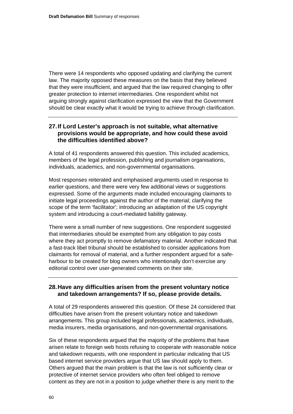There were 14 respondents who opposed updating and clarifying the current law. The majority opposed these measures on the basis that they believed that they were insufficient, and argued that the law required changing to offer greater protection to internet intermediaries. One respondent whilst not arguing strongly against clarification expressed the view that the Government should be clear exactly what it would be trying to achieve through clarification.

## **27. If Lord Lester's approach is not suitable, what alternative provisions would be appropriate, and how could these avoid the difficulties identified above?**

A total of 41 respondents answered this question. This included academics, members of the legal profession, publishing and journalism organisations, individuals, academics, and non-governmental organisations.

Most responses reiterated and emphasised arguments used in response to earlier questions, and there were very few additional views or suggestions expressed. Some of the arguments made included encouraging claimants to initiate legal proceedings against the author of the material; clarifying the scope of the term 'facilitator'; introducing an adaptation of the US copyright system and introducing a court-mediated liability gateway.

There were a small number of new suggestions. One respondent suggested that intermediaries should be exempted from any obligation to pay costs where they act promptly to remove defamatory material. Another indicated that a fast-track libel tribunal should be established to consider applications from claimants for removal of material, and a further respondent argued for a safeharbour to be created for blog owners who intentionally don't exercise any editorial control over user-generated comments on their site.

### **28. Have any difficulties arisen from the present voluntary notice and takedown arrangements? If so, please provide details.**

A total of 29 respondents answered this question. Of these 24 considered that difficulties have arisen from the present voluntary notice and takedown arrangements. This group included legal professionals, academics, individuals, media insurers, media organisations, and non-governmental organisations.

Six of these respondents argued that the majority of the problems that have arisen relate to foreign web hosts refusing to cooperate with reasonable notice and takedown requests, with one respondent in particular indicating that US based internet service providers argue that US law should apply to them. Others argued that the main problem is that the law is not sufficiently clear or protective of internet service providers who often feel obliged to remove content as they are not in a position to judge whether there is any merit to the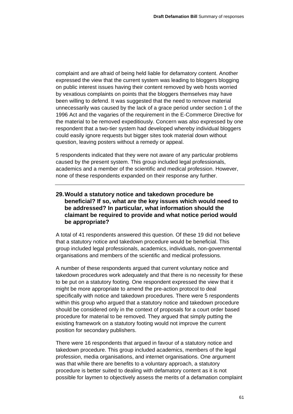complaint and are afraid of being held liable for defamatory content. Another expressed the view that the current system was leading to bloggers blogging on public interest issues having their content removed by web hosts worried by vexatious complaints on points that the bloggers themselves may have been willing to defend. It was suggested that the need to remove material unnecessarily was caused by the lack of a grace period under section 1 of the 1996 Act and the vagaries of the requirement in the E-Commerce Directive for the material to be removed expeditiously. Concern was also expressed by one respondent that a two-tier system had developed whereby individual bloggers could easily ignore requests but bigger sites took material down without question, leaving posters without a remedy or appeal.

5 respondents indicated that they were not aware of any particular problems caused by the present system. This group included legal professionals, academics and a member of the scientific and medical profession. However, none of these respondents expanded on their response any further.

# **29. Would a statutory notice and takedown procedure be beneficial? If so, what are the key issues which would need to be addressed? In particular, what information should the claimant be required to provide and what notice period would be appropriate?**

A total of 41 respondents answered this question. Of these 19 did not believe that a statutory notice and takedown procedure would be beneficial. This group included legal professionals, academics, individuals, non-governmental organisations and members of the scientific and medical professions.

A number of these respondents argued that current voluntary notice and takedown procedures work adequately and that there is no necessity for these to be put on a statutory footing. One respondent expressed the view that it might be more appropriate to amend the pre-action protocol to deal specifically with notice and takedown procedures. There were 5 respondents within this group who argued that a statutory notice and takedown procedure should be considered only in the context of proposals for a court order based procedure for material to be removed. They argued that simply putting the existing framework on a statutory footing would not improve the current position for secondary publishers.

There were 16 respondents that argued in favour of a statutory notice and takedown procedure. This group included academics, members of the legal profession, media organisations, and internet organisations. One argument was that while there are benefits to a voluntary approach, a statutory procedure is better suited to dealing with defamatory content as it is not possible for laymen to objectively assess the merits of a defamation complaint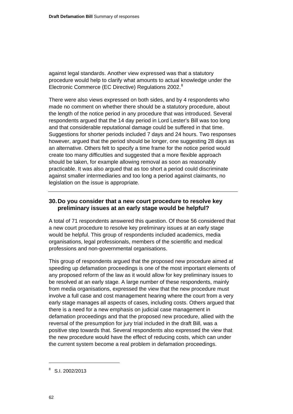against legal standards. Another view expressed was that a statutory procedure would help to clarify what amounts to actual knowledge under the Electronic Commerce (EC Directive) Regulations 2002.<sup>[8](#page-65-0)</sup>

There were also views expressed on both sides, and by 4 respondents who made no comment on whether there should be a statutory procedure, about the length of the notice period in any procedure that was introduced. Several respondents argued that the 14 day period in Lord Lester's Bill was too long and that considerable reputational damage could be suffered in that time. Suggestions for shorter periods included 7 days and 24 hours. Two responses however, argued that the period should be longer, one suggesting 28 days as an alternative. Others felt to specify a time frame for the notice period would create too many difficulties and suggested that a more flexible approach should be taken, for example allowing removal as soon as reasonably practicable. It was also argued that as too short a period could discriminate against smaller intermediaries and too long a period against claimants, no legislation on the issue is appropriate.

## **30. Do you consider that a new court procedure to resolve key preliminary issues at an early stage would be helpful?**

A total of 71 respondents answered this question. Of those 56 considered that a new court procedure to resolve key preliminary issues at an early stage would be helpful. This group of respondents included academics, media organisations, legal professionals, members of the scientific and medical professions and non-governmental organisations.

This group of respondents argued that the proposed new procedure aimed at speeding up defamation proceedings is one of the most important elements of any proposed reform of the law as it would allow for key preliminary issues to be resolved at an early stage. A large number of these respondents, mainly from media organisations, expressed the view that the new procedure must involve a full case and cost management hearing where the court from a very early stage manages all aspects of cases, including costs. Others argued that there is a need for a new emphasis on judicial case management in defamation proceedings and that the proposed new procedure, allied with the reversal of the presumption for jury trial included in the draft Bill, was a positive step towards that. Several respondents also expressed the view that the new procedure would have the effect of reducing costs, which can under the current system become a real problem in defamation proceedings.

<span id="page-65-0"></span><sup>&</sup>lt;sup>8</sup> S.I. 2002/2013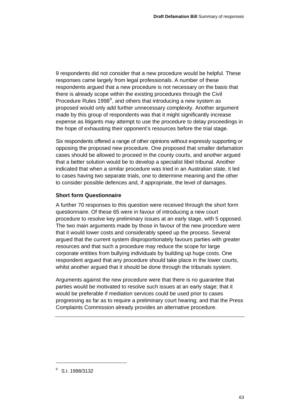9 respondents did not consider that a new procedure would be helpful. These responses came largely from legal professionals. A number of these respondents argued that a new procedure is not necessary on the basis that there is already scope within the existing procedures through the Civil Procedure Rules 1[9](#page-66-0)98 $^9$ , and others that introducing a new system as proposed would only add further unnecessary complexity. Another argument made by this group of respondents was that it might significantly increase expense as litigants may attempt to use the procedure to delay proceedings in the hope of exhausting their opponent's resources before the trial stage.

Six respondents offered a range of other opinions without expressly supporting or opposing the proposed new procedure. One proposed that smaller defamation cases should be allowed to proceed in the county courts, and another argued that a better solution would be to develop a specialist libel tribunal. Another indicated that when a similar procedure was tried in an Australian state, it led to cases having two separate trials, one to determine meaning and the other to consider possible defences and, if appropriate, the level of damages.

#### **Short form Questionnaire**

A further 70 responses to this question were received through the short form questionnaire. Of these 65 were in favour of introducing a new court procedure to resolve key preliminary issues at an early stage, with 5 opposed. The two main arguments made by those in favour of the new procedure were that it would lower costs and considerably speed up the process. Several argued that the current system disproportionately favours parties with greater resources and that such a procedure may reduce the scope for large corporate entities from bullying individuals by building up huge costs. One respondent argued that any procedure should take place in the lower courts, whilst another argued that it should be done through the tribunals system.

Arguments against the new procedure were that there is no guarantee that parties would be motivated to resolve such issues at an early stage; that it would be preferable if mediation services could be used prior to cases progressing as far as to require a preliminary court hearing; and that the Press Complaints Commission already provides an alternative procedure.

 $\overline{a}$ 

<span id="page-66-0"></span><sup>&</sup>lt;sup>9</sup> S.I. 1998/3132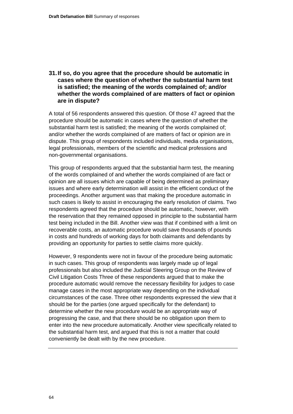# **31. If so, do you agree that the procedure should be automatic in cases where the question of whether the substantial harm test is satisfied; the meaning of the words complained of; and/or whether the words complained of are matters of fact or opinion are in dispute?**

A total of 56 respondents answered this question. Of those 47 agreed that the procedure should be automatic in cases where the question of whether the substantial harm test is satisfied; the meaning of the words complained of; and/or whether the words complained of are matters of fact or opinion are in dispute. This group of respondents included individuals, media organisations, legal professionals, members of the scientific and medical professions and non-governmental organisations.

This group of respondents argued that the substantial harm test, the meaning of the words complained of and whether the words complained of are fact or opinion are all issues which are capable of being determined as preliminary issues and where early determination will assist in the efficient conduct of the proceedings. Another argument was that making the procedure automatic in such cases is likely to assist in encouraging the early resolution of claims. Two respondents agreed that the procedure should be automatic, however, with the reservation that they remained opposed in principle to the substantial harm test being included in the Bill. Another view was that if combined with a limit on recoverable costs, an automatic procedure would save thousands of pounds in costs and hundreds of working days for both claimants and defendants by providing an opportunity for parties to settle claims more quickly.

However, 9 respondents were not in favour of the procedure being automatic in such cases. This group of respondents was largely made up of legal professionals but also included the Judicial Steering Group on the Review of Civil Litigation Costs Three of these respondents argued that to make the procedure automatic would remove the necessary flexibility for judges to case manage cases in the most appropriate way depending on the individual circumstances of the case. Three other respondents expressed the view that it should be for the parties (one argued specifically for the defendant) to determine whether the new procedure would be an appropriate way of progressing the case, and that there should be no obligation upon them to enter into the new procedure automatically. Another view specifically related to the substantial harm test, and argued that this is not a matter that could conveniently be dealt with by the new procedure.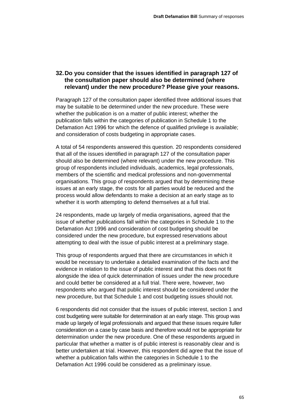# **32. Do you consider that the issues identified in paragraph 127 of the consultation paper should also be determined (where relevant) under the new procedure? Please give your reasons.**

Paragraph 127 of the consultation paper identified three additional issues that may be suitable to be determined under the new procedure. These were whether the publication is on a matter of public interest; whether the publication falls within the categories of publication in Schedule 1 to the Defamation Act 1996 for which the defence of qualified privilege is available; and consideration of costs budgeting in appropriate cases.

A total of 54 respondents answered this question. 20 respondents considered that all of the issues identified in paragraph 127 of the consultation paper should also be determined (where relevant) under the new procedure. This group of respondents included individuals, academics, legal professionals, members of the scientific and medical professions and non-governmental organisations. This group of respondents argued that by determining these issues at an early stage, the costs for all parties would be reduced and the process would allow defendants to make a decision at an early stage as to whether it is worth attempting to defend themselves at a full trial.

24 respondents, made up largely of media organisations, agreed that the issue of whether publications fall within the categories in Schedule 1 to the Defamation Act 1996 and consideration of cost budgeting should be considered under the new procedure, but expressed reservations about attempting to deal with the issue of public interest at a preliminary stage.

This group of respondents argued that there are circumstances in which it would be necessary to undertake a detailed examination of the facts and the evidence in relation to the issue of public interest and that this does not fit alongside the idea of quick determination of issues under the new procedure and could better be considered at a full trial. There were, however, two respondents who argued that public interest should be considered under the new procedure, but that Schedule 1 and cost budgeting issues should not.

6 respondents did not consider that the issues of public interest, section 1 and cost budgeting were suitable for determination at an early stage. This group was made up largely of legal professionals and argued that these issues require fuller consideration on a case by case basis and therefore would not be appropriate for determination under the new procedure. One of these respondents argued in particular that whether a matter is of public interest is reasonably clear and is better undertaken at trial. However, this respondent did agree that the issue of whether a publication falls within the categories in Schedule 1 to the Defamation Act 1996 could be considered as a preliminary issue.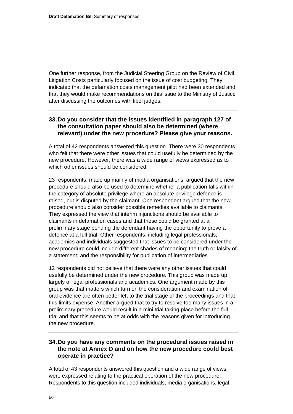One further response, from the Judicial Steering Group on the Review of Civil Litigation Costs particularly focused on the issue of cost budgeting. They indicated that the defamation costs management pilot had been extended and that they would make recommendations on this issue to the Ministry of Justice after discussing the outcomes with libel judges.

# **33. Do you consider that the issues identified in paragraph 127 of the consultation paper should also be determined (where relevant) under the new procedure? Please give your reasons.**

A total of 42 respondents answered this question. There were 30 respondents who felt that there were other issues that could usefully be determined by the new procedure. However, there was a wide range of views expressed as to which other issues should be considered.

23 respondents, made up mainly of media organisations, argued that the new procedure should also be used to determine whether a publication falls within the category of absolute privilege where an absolute privilege defence is raised, but is disputed by the claimant. One respondent argued that the new procedure should also consider possible remedies available to claimants. They expressed the view that interim injunctions should be available to claimants in defamation cases and that these could be granted at a preliminary stage pending the defendant having the opportunity to prove a defence at a full trial. Other respondents, including legal professionals, academics and individuals suggested that issues to be considered under the new procedure could include different shades of meaning; the truth or falsity of a statement; and the responsibility for publication of intermediaries.

12 respondents did not believe that there were any other issues that could usefully be determined under the new procedure. This group was made up largely of legal professionals and academics. One argument made by this group was that matters which turn on the consideration and examination of oral evidence are often better left to the trial stage of the proceedings and that this limits expense. Another argued that to try to resolve too many issues in a preliminary procedure would result in a mini trial taking place before the full trial and that this seems to be at odds with the reasons given for introducing the new procedure.

# **34. Do you have any comments on the procedural issues raised in the note at Annex D and on how the new procedure could best operate in practice?**

A total of 43 respondents answered this question and a wide range of views were expressed relating to the practical operation of the new procedure. Respondents to this question included individuals, media organisations, legal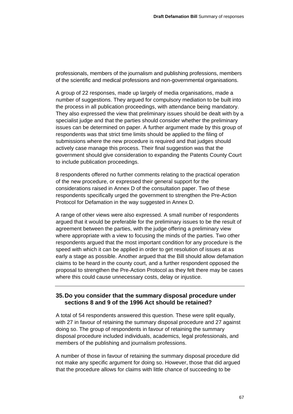professionals, members of the journalism and publishing professions, members of the scientific and medical professions and non-governmental organisations.

A group of 22 responses, made up largely of media organisations, made a number of suggestions. They argued for compulsory mediation to be built into the process in all publication proceedings, with attendance being mandatory. They also expressed the view that preliminary issues should be dealt with by a specialist judge and that the parties should consider whether the preliminary issues can be determined on paper. A further argument made by this group of respondents was that strict time limits should be applied to the filing of submissions where the new procedure is required and that judges should actively case manage this process. Their final suggestion was that the government should give consideration to expanding the Patents County Court to include publication proceedings.

8 respondents offered no further comments relating to the practical operation of the new procedure, or expressed their general support for the considerations raised in Annex D of the consultation paper. Two of these respondents specifically urged the government to strengthen the Pre-Action Protocol for Defamation in the way suggested in Annex D.

A range of other views were also expressed. A small number of respondents argued that it would be preferable for the preliminary issues to be the result of agreement between the parties, with the judge offering a preliminary view where appropriate with a view to focusing the minds of the parties. Two other respondents argued that the most important condition for any procedure is the speed with which it can be applied in order to get resolution of issues at as early a stage as possible. Another argued that the Bill should allow defamation claims to be heard in the county court, and a further respondent opposed the proposal to strengthen the Pre-Action Protocol as they felt there may be cases where this could cause unnecessary costs, delay or injustice.

#### **35. Do you consider that the summary disposal procedure under sections 8 and 9 of the 1996 Act should be retained?**

A total of 54 respondents answered this question. These were split equally, with 27 in favour of retaining the summary disposal procedure and 27 against doing so. The group of respondents in favour of retaining the summary disposal procedure included individuals, academics, legal professionals, and members of the publishing and journalism professions.

A number of those in favour of retaining the summary disposal procedure did not make any specific argument for doing so. However, those that did argued that the procedure allows for claims with little chance of succeeding to be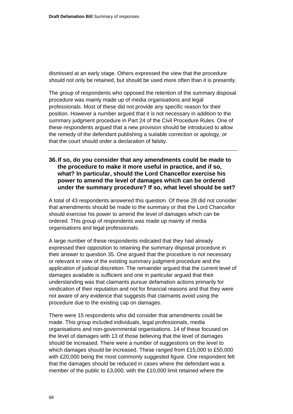dismissed at an early stage. Others expressed the view that the procedure should not only be retained, but should be used more often than it is presently.

The group of respondents who opposed the retention of the summary disposal procedure was mainly made up of media organisations and legal professionals. Most of these did not provide any specific reason for their position. However a number argued that it is not necessary in addition to the summary judgment procedure in Part 24 of the Civil Procedure Rules. One of these respondents argued that a new provision should be introduced to allow the remedy of the defendant publishing a suitable correction or apology, or that the court should order a declaration of falsity.

## **36. If so, do you consider that any amendments could be made to the procedure to make it more useful in practice, and if so, what? In particular, should the Lord Chancellor exercise his power to amend the level of damages which can be ordered under the summary procedure? If so, what level should be set?**

A total of 43 respondents answered this question. Of these 28 did not consider that amendments should be made to the summary or that the Lord Chancellor should exercise his power to amend the level of damages which can be ordered. This group of respondents was made up mainly of media organisations and legal professionals.

A large number of these respondents indicated that they had already expressed their opposition to retaining the summary disposal procedure in their answer to question 35. One argued that the procedure is not necessary or relevant in view of the existing summary judgment procedure and the application of judicial discretion. The remainder argued that the current level of damages available is sufficient and one in particular argued that their understanding was that claimants pursue defamation actions primarily for vindication of their reputation and not for financial reasons and that they were not aware of any evidence that suggests that claimants avoid using the procedure due to the existing cap on damages.

There were 15 respondents who did consider that amendments could be made. This group included individuals, legal professionals, media organisations and non-governmental organisations. 14 of these focused on the level of damages with 13 of those believing that the level of damages should be increased. There were a number of suggestions on the level to which damages should be increased. These ranged from £15,000 to £50,000 with £20,000 being the most commonly suggested figure. One respondent felt that the damages should be reduced in cases where the defendant was a member of the public to £3,000, with the £10,000 limit retained where the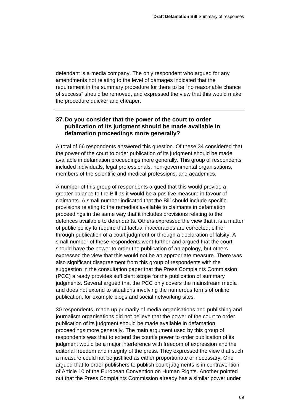defendant is a media company. The only respondent who argued for any amendments not relating to the level of damages indicated that the requirement in the summary procedure for there to be "no reasonable chance of success" should be removed, and expressed the view that this would make the procedure quicker and cheaper.

## **37. Do you consider that the power of the court to order publication of its judgment should be made available in defamation proceedings more generally?**

A total of 66 respondents answered this question. Of these 34 considered that the power of the court to order publication of its judgment should be made available in defamation proceedings more generally. This group of respondents included individuals, legal professionals, non-governmental organisations, members of the scientific and medical professions, and academics.

A number of this group of respondents argued that this would provide a greater balance to the Bill as it would be a positive measure in favour of claimants. A small number indicated that the Bill should include specific provisions relating to the remedies available to claimants in defamation proceedings in the same way that it includes provisions relating to the defences available to defendants. Others expressed the view that it is a matter of public policy to require that factual inaccuracies are corrected, either through publication of a court judgment or through a declaration of falsity. A small number of these respondents went further and argued that the court should have the power to order the publication of an apology, but others expressed the view that this would not be an appropriate measure. There was also significant disagreement from this group of respondents with the suggestion in the consultation paper that the Press Complaints Commission (PCC) already provides sufficient scope for the publication of summary judgments. Several argued that the PCC only covers the mainstream media and does not extend to situations involving the numerous forms of online publication, for example blogs and social networking sites.

30 respondents, made up primarily of media organisations and publishing and journalism organisations did not believe that the power of the court to order publication of its judgment should be made available in defamation proceedings more generally. The main argument used by this group of respondents was that to extend the court's power to order publication of its judgment would be a major interference with freedom of expression and the editorial freedom and integrity of the press. They expressed the view that such a measure could not be justified as either proportionate or necessary. One argued that to order publishers to publish court judgments is in contravention of Article 10 of the European Convention on Human Rights. Another pointed out that the Press Complaints Commission already has a similar power under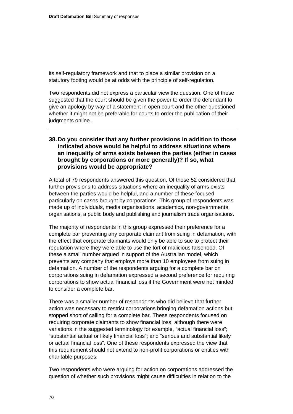its self-regulatory framework and that to place a similar provision on a statutory footing would be at odds with the principle of self-regulation.

Two respondents did not express a particular view the question. One of these suggested that the court should be given the power to order the defendant to give an apology by way of a statement in open court and the other questioned whether it might not be preferable for courts to order the publication of their judgments online.

# **38. Do you consider that any further provisions in addition to those indicated above would be helpful to address situations where an inequality of arms exists between the parties (either in cases brought by corporations or more generally)? If so, what provisions would be appropriate?**

A total of 79 respondents answered this question. Of those 52 considered that further provisions to address situations where an inequality of arms exists between the parties would be helpful, and a number of these focused particularly on cases brought by corporations. This group of respondents was made up of individuals, media organisations, academics, non-governmental organisations, a public body and publishing and journalism trade organisations.

The majority of respondents in this group expressed their preference for a complete bar preventing any corporate claimant from suing in defamation, with the effect that corporate claimants would only be able to sue to protect their reputation where they were able to use the tort of malicious falsehood. Of these a small number argued in support of the Australian model, which prevents any company that employs more than 10 employees from suing in defamation. A number of the respondents arguing for a complete bar on corporations suing in defamation expressed a second preference for requiring corporations to show actual financial loss if the Government were not minded to consider a complete bar.

There was a smaller number of respondents who did believe that further action was necessary to restrict corporations bringing defamation actions but stopped short of calling for a complete bar. These respondents focused on requiring corporate claimants to show financial loss, although there were variations in the suggested terminology for example, "actual financial loss"; "substantial actual or likely financial loss"; and "serious and substantial likely or actual financial loss". One of these respondents expressed the view that this requirement should not extend to non-profit corporations or entities with charitable purposes.

Two respondents who were arguing for action on corporations addressed the question of whether such provisions might cause difficulties in relation to the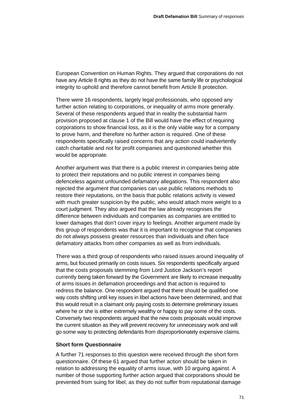European Convention on Human Rights. They argued that corporations do not have any Article 8 rights as they do not have the same family life or psychological integrity to uphold and therefore cannot benefit from Article 8 protection.

There were 16 respondents, largely legal professionals, who opposed any further action relating to corporations, or inequality of arms more generally. Several of these respondents argued that in reality the substantial harm provision proposed at clause 1 of the Bill would have the effect of requiring corporations to show financial loss, as it is the only viable way for a company to prove harm, and therefore no further action is required. One of these respondents specifically raised concerns that any action could inadvertently catch charitable and not for profit companies and questioned whether this would be appropriate.

Another argument was that there is a public interest in companies being able to protect their reputations and no public interest in companies being defenceless against unfounded defamatory allegations. This respondent also rejected the argument that companies can use public relations methods to restore their reputations, on the basis that public relations activity is viewed with much greater suspicion by the public, who would attach more weight to a court judgment. They also argued that the law already recognises the difference between individuals and companies as companies are entitled to lower damages that don't cover injury to feelings. Another argument made by this group of respondents was that it is important to recognise that companies do not always possess greater resources than individuals and often face defamatory attacks from other companies as well as from individuals.

There was a third group of respondents who raised issues around inequality of arms, but focused primarily on costs issues. Six respondents specifically argued that the costs proposals stemming from Lord Justice Jackson's report currently being taken forward by the Government are likely to increase inequality of arms issues in defamation proceedings and that action is required to redress the balance. One respondent argued that there should be qualified one way costs shifting until key issues in libel actions have been determined, and that this would result in a claimant only paying costs to determine preliminary issues where he or she is either extremely wealthy or happy to pay some of the costs. Conversely two respondents argued that the new costs proposals would improve the current situation as they will prevent recovery for unnecessary work and will go some way to protecting defendants from disproportionately expensive claims.

# **Short form Questionnaire**

A further 71 responses to this question were received through the short form questionnaire. Of these 61 argued that further action should be taken in relation to addressing the equality of arms issue, with 10 arguing against. A number of those supporting further action argued that corporations should be prevented from suing for libel, as they do not suffer from reputational damage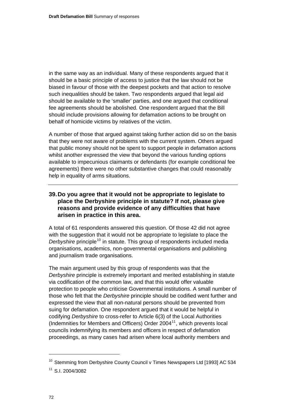in the same way as an individual. Many of these respondents argued that it should be a basic principle of access to justice that the law should not be biased in favour of those with the deepest pockets and that action to resolve such inequalities should be taken. Two respondents argued that legal aid should be available to the 'smaller' parties, and one argued that conditional fee agreements should be abolished. One respondent argued that the Bill should include provisions allowing for defamation actions to be brought on behalf of homicide victims by relatives of the victim.

A number of those that argued against taking further action did so on the basis that they were not aware of problems with the current system. Others argued that public money should not be spent to support people in defamation actions whilst another expressed the view that beyond the various funding options available to impecunious claimants or defendants (for example conditional fee agreements) there were no other substantive changes that could reasonably help in equality of arms situations.

# **39. Do you agree that it would not be appropriate to legislate to place the Derbyshire principle in statute? If not, please give reasons and provide evidence of any difficulties that have arisen in practice in this area.**

A total of 61 respondents answered this question. Of those 42 did not agree with the suggestion that it would not be appropriate to legislate to place the *Derbyshire* principle<sup>[10](#page-75-0)</sup> in statute. This group of respondents included media organisations, academics, non-governmental organisations and publishing and journalism trade organisations.

The main argument used by this group of respondents was that the *Derbyshire* principle is extremely important and merited establishing in statute via codification of the common law, and that this would offer valuable protection to people who criticise Governmental institutions. A small number of those who felt that the *Derbyshire* principle should be codified went further and expressed the view that all non-natural persons should be prevented from suing for defamation. One respondent argued that it would be helpful in codifying *Derbyshire* to cross-refer to Article 6(3) of the Local Authorities (Indemnities for Members and Officers) Order  $2004<sup>11</sup>$  $2004<sup>11</sup>$  $2004<sup>11</sup>$ , which prevents local councils indemnifying its members and officers in respect of defamation proceedings, as many cases had arisen where local authority members and

<span id="page-75-0"></span><sup>&</sup>lt;sup>10</sup> Stemming from Derbyshire County Council v Times Newspapers Ltd [1993] AC 534

<span id="page-75-1"></span> $11$  S.L. 2004/3082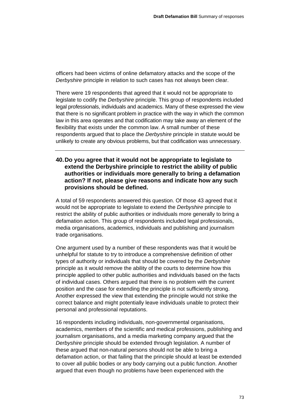officers had been victims of online defamatory attacks and the scope of the *Derbyshire* principle in relation to such cases has not always been clear.

There were 19 respondents that agreed that it would not be appropriate to legislate to codify the *Derbyshire* principle. This group of respondents included legal professionals, individuals and academics. Many of these expressed the view that there is no significant problem in practice with the way in which the common law in this area operates and that codification may take away an element of the flexibility that exists under the common law. A small number of these respondents argued that to place the *Derbyshire* principle in statute would be unlikely to create any obvious problems, but that codification was unnecessary.

# **40. Do you agree that it would not be appropriate to legislate to extend the Derbyshire principle to restrict the ability of public authorities or individuals more generally to bring a defamation action? If not, please give reasons and indicate how any such provisions should be defined.**

A total of 59 respondents answered this question. Of those 43 agreed that it would not be appropriate to legislate to extend the *Derbyshire* principle to restrict the ability of public authorities or individuals more generally to bring a defamation action. This group of respondents included legal professionals, media organisations, academics, individuals and publishing and journalism trade organisations.

One argument used by a number of these respondents was that it would be unhelpful for statute to try to introduce a comprehensive definition of other types of authority or individuals that should be covered by the *Derbyshire*  principle as it would remove the ability of the courts to determine how this principle applied to other public authorities and individuals based on the facts of individual cases. Others argued that there is no problem with the current position and the case for extending the principle is not sufficiently strong. Another expressed the view that extending the principle would not strike the correct balance and might potentially leave individuals unable to protect their personal and professional reputations.

16 respondents including individuals, non-governmental organisations, academics, members of the scientific and medical professions, publishing and journalism organisations, and a media marketing company argued that the *Derbyshire* principle should be extended through legislation. A number of these argued that non-natural persons should not be able to bring a defamation action, or that failing that the principle should at least be extended to cover all public bodies or any body carrying out a public function. Another argued that even though no problems have been experienced with the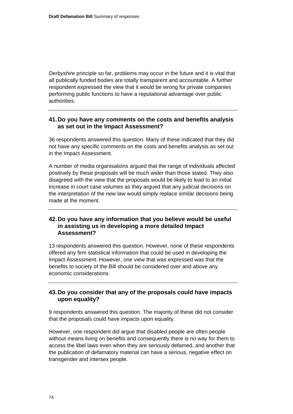*Derbyshire* principle so far, problems may occur in the future and it is vital that all publically funded bodies are totally transparent and accountable. A further respondent expressed the view that it would be wrong for private companies performing public functions to have a reputational advantage over public authorities.

# **41. Do you have any comments on the costs and benefits analysis as set out in the Impact Assessment?**

36 respondents answered this question. Many of these indicated that they did not have any specific comments on the costs and benefits analysis as set out in the Impact Assessment.

A number of media organisations argued that the range of individuals affected positively by these proposals will be much wider than those stated. They also disagreed with the view that the proposals would be likely to lead to an initial increase in court case volumes as they argued that any judicial decisions on the interpretation of the new law would simply replace similar decisions being made at the moment.

# **42. Do you have any information that you believe would be useful in assisting us in developing a more detailed Impact Assessment?**

13 respondents answered this question. However, none of these respondents offered any firm statistical information that could be used in developing the Impact Assessment. However, one view that was expressed was that the benefits to society of the Bill should be considered over and above any economic considerations.

# **43. Do you consider that any of the proposals could have impacts upon equality?**

9 respondents answered this question. The majority of these did not consider that the proposals could have impacts upon equality.

However, one respondent did argue that disabled people are often people without means living on benefits and consequently there is no way for them to access the libel laws even when they are seriously defamed, and another that the publication of defamatory material can have a serious, negative effect on transgender and intersex people.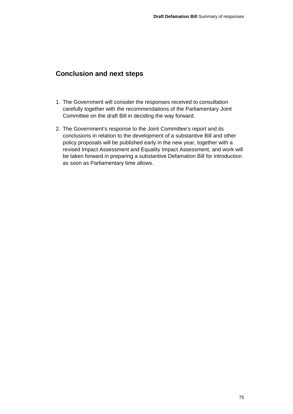# **Conclusion and next steps**

- 1. The Government will consider the responses received to consultation carefully together with the recommendations of the Parliamentary Joint Committee on the draft Bill in deciding the way forward.
- 2. The Government's response to the Joint Committee's report and its conclusions in relation to the development of a substantive Bill and other policy proposals will be published early in the new year, together with a revised Impact Assessment and Equality Impact Assessment, and work will be taken forward in preparing a substantive Defamation Bill for introduction as soon as Parliamentary time allows.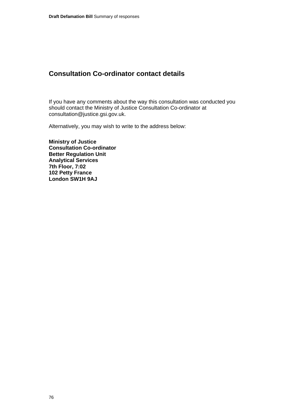# **Consultation Co-ordinator contact details**

If you have any comments about the way this consultation was conducted you should contact the Ministry of Justice Consultation Co-ordinator at [consultation@justice.gsi.gov.uk.](mailto:consultation@justice.gsi.gov.uk)

Alternatively, you may wish to write to the address below:

**Ministry of Justice Consultation Co-ordinator Better Regulation Unit Analytical Services 7th Floor, 7:02 102 Petty France London SW1H 9AJ**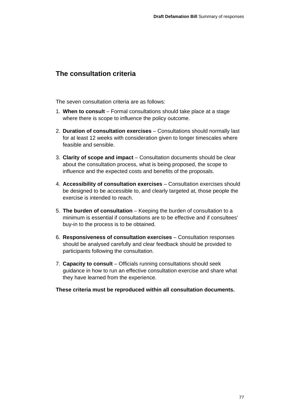# **The consultation criteria**

The seven consultation criteria are as follows:

- 1. **When to consult** Formal consultations should take place at a stage where there is scope to influence the policy outcome.
- 2. **Duration of consultation exercises** Consultations should normally last for at least 12 weeks with consideration given to longer timescales where feasible and sensible.
- 3. **Clarity of scope and impact** Consultation documents should be clear about the consultation process, what is being proposed, the scope to influence and the expected costs and benefits of the proposals.
- 4. **Accessibility of consultation exercises** Consultation exercises should be designed to be accessible to, and clearly targeted at, those people the exercise is intended to reach.
- 5. **The burden of consultation** Keeping the burden of consultation to a minimum is essential if consultations are to be effective and if consultees' buy-in to the process is to be obtained.
- 6. **Responsiveness of consultation exercises** Consultation responses should be analysed carefully and clear feedback should be provided to participants following the consultation.
- 7. **Capacity to consult** Officials running consultations should seek guidance in how to run an effective consultation exercise and share what they have learned from the experience.

**These criteria must be reproduced within all consultation documents.**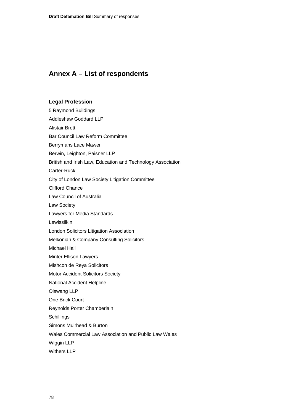# **Annex A – List of respondents**

#### **Legal Profession**

5 Raymond Buildings Addleshaw Goddard LLP Alistair Brett Bar Council Law Reform Committee Berrymans Lace Mawer Berwin, Leighton, Paisner LLP British and Irish Law, Education and Technology Association Carter-Ruck City of London Law Society Litigation Committee Clifford Chance Law Council of Australia Law Society Lawyers for Media Standards Lewissilkin London Solicitors Litigation Association Melkonian & Company Consulting Solicitors Michael Hall Minter Ellison Lawyers Mishcon de Reya Solicitors Motor Accident Solicitors Society National Accident Helpline Olswang LLP One Brick Court Reynolds Porter Chamberlain **Schillings** Simons Muirhead & Burton Wales Commercial Law Association and Public Law Wales Wiggin LLP Withers LLP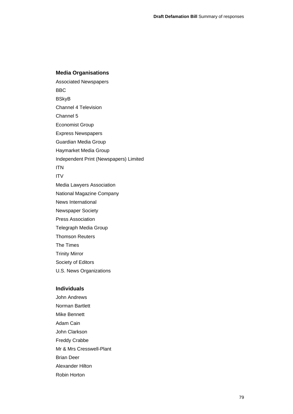#### **Media Organisations**

Associated Newspapers BBC BSkyB Channel 4 Television Channel 5 Economist Group Express Newspapers Guardian Media Group Haymarket Media Group Independent Print (Newspapers) Limited ITN ITV Media Lawyers Association National Magazine Company News International Newspaper Society Press Association Telegraph Media Group Thomson Reuters The Times Trinity Mirror Society of Editors U.S. News Organizations

## **Individuals**

John Andrews Norman Bartlett Mike Bennett Adam Cain John Clarkson Freddy Crabbe Mr & Mrs Cresswell-Plant Brian Deer Alexander Hilton Robin Horton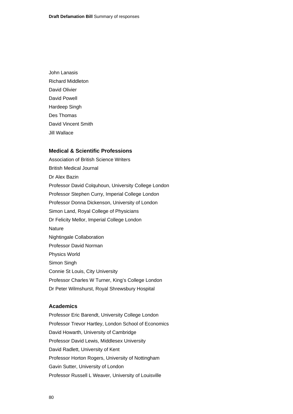John Lanasis Richard Middleton David Olivier David Powell Hardeep Singh Des Thomas David Vincent Smith Jill Wallace

#### **Medical & Scientific Professions**

Association of British Science Writers British Medical Journal Dr Alex Bazin Professor David Colquhoun, University College London Professor Stephen Curry, Imperial College London Professor Donna Dickenson, University of London Simon Land, Royal College of Physicians Dr Felicity Mellor, Imperial College London Nature Nightingale Collaboration Professor David Norman Physics World Simon Singh Connie St Louis, City University Professor Charles W Turner, King's College London Dr Peter Wilmshurst, Royal Shrewsbury Hospital

#### **Academics**

Professor Eric Barendt, University College London Professor Trevor Hartley, London School of Economics David Howarth, University of Cambridge Professor David Lewis, Middlesex University David Radlett, University of Kent Professor Horton Rogers, University of Nottingham Gavin Sutter, University of London Professor Russell L Weaver, University of Louisville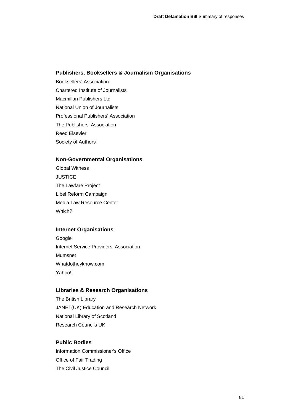#### **Publishers, Booksellers & Journalism Organisations**

Booksellers' Association Chartered Institute of Journalists Macmillan Publishers Ltd National Union of Journalists Professional Publishers' Association The Publishers' Association Reed Elsevier Society of Authors

### **Non-Governmental Organisations**

Global Witness **JUSTICE** The Lawfare Project Libel Reform Campaign Media Law Resource Center Which?

### **Internet Organisations**

Google Internet Service Providers' Association Mumsnet Whatdotheyknow.com Yahoo!

#### **Libraries & Research Organisations**

The British Library JANET(UK) Education and Research Network National Library of Scotland Research Councils UK

# **Public Bodies**

Information Commissioner's Office Office of Fair Trading The Civil Justice Council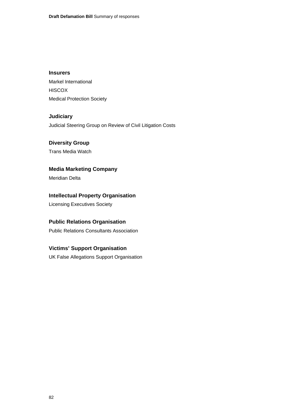#### **Insurers**

Markel International **HISCOX** Medical Protection Society

# **Judiciary**  Judicial Steering Group on Review of Civil Litigation Costs

# **Diversity Group**

Trans Media Watch

# **Media Marketing Company**

Meridian Delta

# **Intellectual Property Organisation**

Licensing Executives Society

# **Public Relations Organisation**

Public Relations Consultants Association

#### **Victims' Support Organisation**

UK False Allegations Support Organisation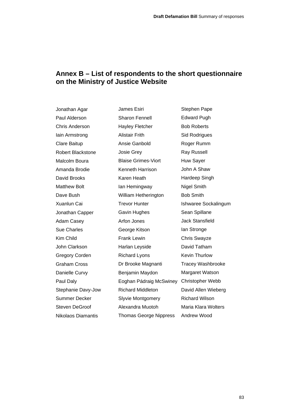# **Annex B – List of respondents to the short questionnaire on the Ministry of Justice Website**

Jonathan Agar Paul Alderson Chris Anderson Iain Armstrong Clare Baitup Robert Blackstone Malcolm Boura Amanda Brodie David Brooks Matthew Bolt Dave Bush Xuanlun Cai Jonathan Capper Adam Casey Sue Charles Kim Child John Clarkson Gregory Corden Graham Cross Danielle Curvy Paul Daly Stephanie Davy-Jow Summer Decker Steven DeGroof Nikolaos Diamantis

James Esiri Sharon Fennell Hayley Fletcher Alistair Frith Ansie Ganbold Josie Grey Blaise Grimes-Viort Kenneth Harrison Karen Heath Ian Hemingway William Hetherington Trevor Hunter Gavin Hughes Arfon Jones George Kitson Frank Lewin Harlan Leyside Richard Lyons Dr Brooke Magnanti Benjamin Maydon Eoghan Pádraig McSwiney Richard Middleton Slyvie Montgomery Alexandra Muotoh Thomas George Nippress

Stephen Pape Edward Pugh Bob Roberts Sid Rodrigues Roger Rumm Ray Russell Huw Sayer John A Shaw Hardeep Singh Nigel Smith Bob Smith Ishwaree Sockalingum Sean Spillane Jack Stansfield Ian Stronge Chris Swayze David Tatham Kevin Thurlow Tracey Washbrooke Margaret Watson Christopher Webb David Allen Wieberg Richard Wilson Maria Klara Wolters Andrew Wood